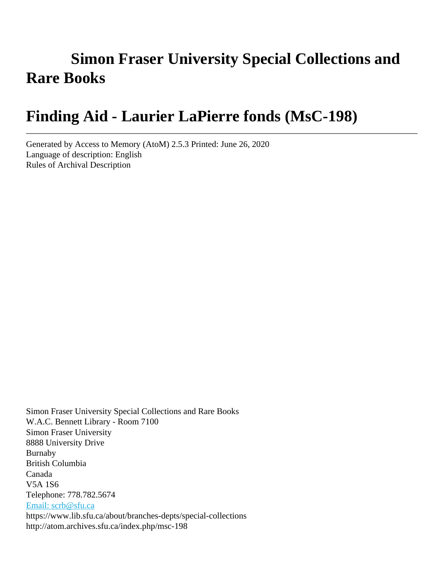# **Simon Fraser University Special Collections and Rare Books**

# **Finding Aid - Laurier LaPierre fonds (MsC-198)**

Generated by Access to Memory (AtoM) 2.5.3 Printed: June 26, 2020 Language of description: English Rules of Archival Description

Simon Fraser University Special Collections and Rare Books W.A.C. Bennett Library - Room 7100 Simon Fraser University 8888 University Drive Burnaby British Columbia Canada V5A 1S6 Telephone: 778.782.5674 [Email: scrb@sfu.ca](mailto:Email: scrb@sfu.ca) https://www.lib.sfu.ca/about/branches-depts/special-collections http://atom.archives.sfu.ca/index.php/msc-198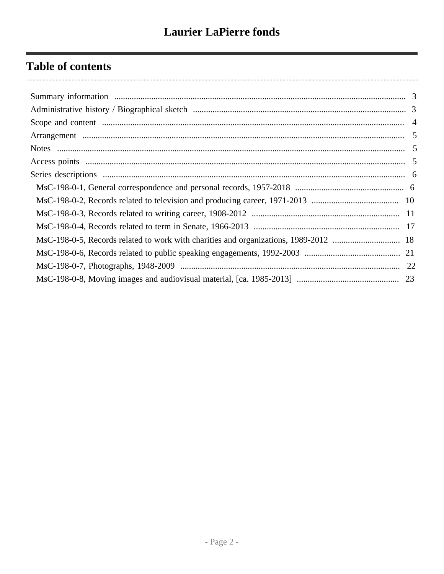# **Table of contents**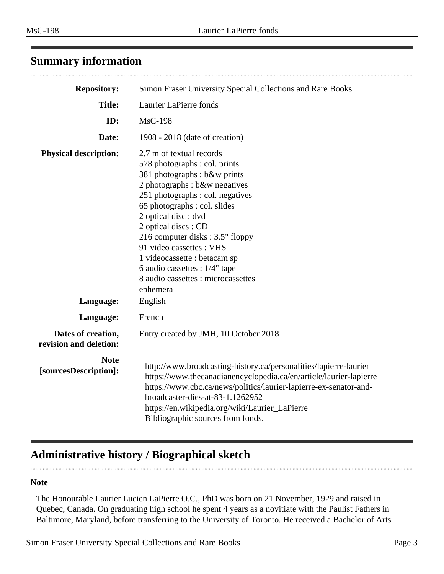<span id="page-2-0"></span>

| <b>Repository:</b>                           | Simon Fraser University Special Collections and Rare Books                                                                                                                                                                                                                                                                                                                                                                          |  |  |
|----------------------------------------------|-------------------------------------------------------------------------------------------------------------------------------------------------------------------------------------------------------------------------------------------------------------------------------------------------------------------------------------------------------------------------------------------------------------------------------------|--|--|
| <b>Title:</b>                                | Laurier LaPierre fonds                                                                                                                                                                                                                                                                                                                                                                                                              |  |  |
| ID:                                          | <b>MsC-198</b>                                                                                                                                                                                                                                                                                                                                                                                                                      |  |  |
| Date:                                        | 1908 - 2018 (date of creation)                                                                                                                                                                                                                                                                                                                                                                                                      |  |  |
| <b>Physical description:</b>                 | 2.7 m of textual records<br>578 photographs : col. prints<br>381 photographs : b&w prints<br>2 photographs : b&w negatives<br>251 photographs : col. negatives<br>65 photographs : col. slides<br>2 optical disc : dvd<br>2 optical discs : CD<br>216 computer disks: 3.5" floppy<br>91 video cassettes : VHS<br>1 videocassette : betacam sp<br>6 audio cassettes : $1/4$ " tape<br>8 audio cassettes : microcassettes<br>ephemera |  |  |
| Language:                                    | English                                                                                                                                                                                                                                                                                                                                                                                                                             |  |  |
| Language:                                    | French                                                                                                                                                                                                                                                                                                                                                                                                                              |  |  |
| Dates of creation,<br>revision and deletion: | Entry created by JMH, 10 October 2018                                                                                                                                                                                                                                                                                                                                                                                               |  |  |
| <b>Note</b><br>[sourcesDescription]:         | http://www.broadcasting-history.ca/personalities/lapierre-laurier<br>https://www.thecanadianencyclopedia.ca/en/article/laurier-lapierre<br>https://www.cbc.ca/news/politics/laurier-lapierre-ex-senator-and-<br>broadcaster-dies-at-83-1.1262952<br>https://en.wikipedia.org/wiki/Laurier_LaPierre<br>Bibliographic sources from fonds.                                                                                             |  |  |

# <span id="page-2-1"></span>**Administrative history / Biographical sketch**

### **Note**

The Honourable Laurier Lucien LaPierre O.C., PhD was born on 21 November, 1929 and raised in Quebec, Canada. On graduating high school he spent 4 years as a novitiate with the Paulist Fathers in Baltimore, Maryland, before transferring to the University of Toronto. He received a Bachelor of Arts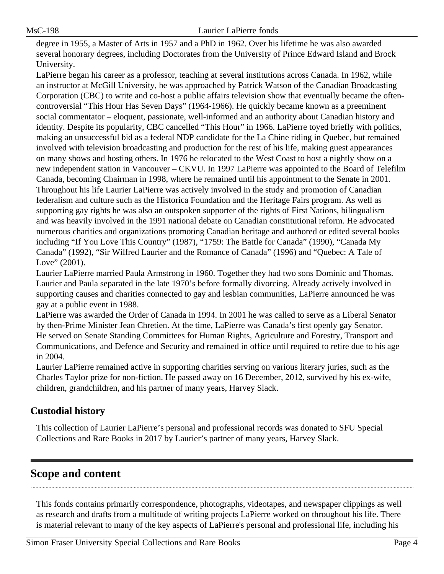degree in 1955, a Master of Arts in 1957 and a PhD in 1962. Over his lifetime he was also awarded several honorary degrees, including Doctorates from the University of Prince Edward Island and Brock University.

LaPierre began his career as a professor, teaching at several institutions across Canada. In 1962, while an instructor at McGill University, he was approached by Patrick Watson of the Canadian Broadcasting Corporation (CBC) to write and co-host a public affairs television show that eventually became the oftencontroversial "This Hour Has Seven Days" (1964-1966). He quickly became known as a preeminent social commentator – eloquent, passionate, well-informed and an authority about Canadian history and identity. Despite its popularity, CBC cancelled "This Hour" in 1966. LaPierre toyed briefly with politics, making an unsuccessful bid as a federal NDP candidate for the La Chine riding in Quebec, but remained involved with television broadcasting and production for the rest of his life, making guest appearances on many shows and hosting others. In 1976 he relocated to the West Coast to host a nightly show on a new independent station in Vancouver – CKVU. In 1997 LaPierre was appointed to the Board of Telefilm Canada, becoming Chairman in 1998, where he remained until his appointment to the Senate in 2001. Throughout his life Laurier LaPierre was actively involved in the study and promotion of Canadian federalism and culture such as the Historica Foundation and the Heritage Fairs program. As well as supporting gay rights he was also an outspoken supporter of the rights of First Nations, bilingualism and was heavily involved in the 1991 national debate on Canadian constitutional reform. He advocated numerous charities and organizations promoting Canadian heritage and authored or edited several books including "If You Love This Country" (1987), "1759: The Battle for Canada" (1990), "Canada My Canada" (1992), "Sir Wilfred Laurier and the Romance of Canada" (1996) and "Quebec: A Tale of Love" (2001).

Laurier LaPierre married Paula Armstrong in 1960. Together they had two sons Dominic and Thomas. Laurier and Paula separated in the late 1970's before formally divorcing. Already actively involved in supporting causes and charities connected to gay and lesbian communities, LaPierre announced he was gay at a public event in 1988.

LaPierre was awarded the Order of Canada in 1994. In 2001 he was called to serve as a Liberal Senator by then-Prime Minister Jean Chretien. At the time, LaPierre was Canada's first openly gay Senator. He served on Senate Standing Committees for Human Rights, Agriculture and Forestry, Transport and Communications, and Defence and Security and remained in office until required to retire due to his age in 2004.

Laurier LaPierre remained active in supporting charities serving on various literary juries, such as the Charles Taylor prize for non-fiction. He passed away on 16 December, 2012, survived by his ex-wife, children, grandchildren, and his partner of many years, Harvey Slack.

# **Custodial history**

This collection of Laurier LaPierre's personal and professional records was donated to SFU Special Collections and Rare Books in 2017 by Laurier's partner of many years, Harvey Slack.

# <span id="page-3-0"></span>**Scope and content**

This fonds contains primarily correspondence, photographs, videotapes, and newspaper clippings as well as research and drafts from a multitude of writing projects LaPierre worked on throughout his life. There is material relevant to many of the key aspects of LaPierre's personal and professional life, including his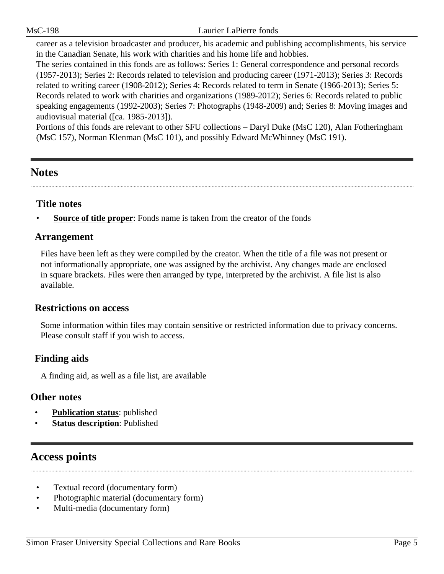career as a television broadcaster and producer, his academic and publishing accomplishments, his service in the Canadian Senate, his work with charities and his home life and hobbies.

The series contained in this fonds are as follows: Series 1: General correspondence and personal records (1957-2013); Series 2: Records related to television and producing career (1971-2013); Series 3: Records related to writing career (1908-2012); Series 4: Records related to term in Senate (1966-2013); Series 5: Records related to work with charities and organizations (1989-2012); Series 6: Records related to public speaking engagements (1992-2003); Series 7: Photographs (1948-2009) and; Series 8: Moving images and audiovisual material ([ca. 1985-2013]).

Portions of this fonds are relevant to other SFU collections – Daryl Duke (MsC 120), Alan Fotheringham (MsC 157), Norman Klenman (MsC 101), and possibly Edward McWhinney (MsC 191).

# <span id="page-4-1"></span>**Notes**

# **Title notes**

**<u>Source of title proper</u>**: Fonds name is taken from the creator of the fonds

# <span id="page-4-0"></span>**Arrangement**

Files have been left as they were compiled by the creator. When the title of a file was not present or not informationally appropriate, one was assigned by the archivist. Any changes made are enclosed in square brackets. Files were then arranged by type, interpreted by the archivist. A file list is also available.

## **Restrictions on access**

Some information within files may contain sensitive or restricted information due to privacy concerns. Please consult staff if you wish to access.

# **Finding aids**

A finding aid, as well as a file list, are available

## **Other notes**

- **Publication status**: published
- **Status description**: Published

# <span id="page-4-2"></span>**Access points**

- Textual record (documentary form)
- Photographic material (documentary form)
- Multi-media (documentary form)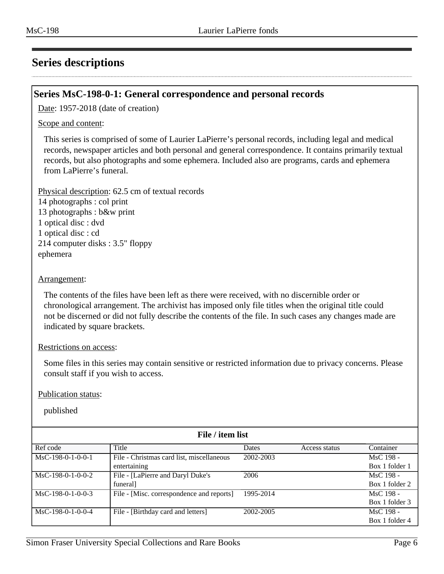# <span id="page-5-0"></span>**Series descriptions**

### <span id="page-5-1"></span>**Series MsC-198-0-1: General correspondence and personal records**

Date: 1957-2018 (date of creation)

Scope and content:

This series is comprised of some of Laurier LaPierre's personal records, including legal and medical records, newspaper articles and both personal and general correspondence. It contains primarily textual records, but also photographs and some ephemera. Included also are programs, cards and ephemera from LaPierre's funeral.

Physical description: 62.5 cm of textual records 14 photographs : col print 13 photographs : b&w print 1 optical disc : dvd 1 optical disc : cd 214 computer disks : 3.5" floppy ephemera

#### Arrangement:

The contents of the files have been left as there were received, with no discernible order or chronological arrangement. The archivist has imposed only file titles when the original title could not be discerned or did not fully describe the contents of the file. In such cases any changes made are indicated by square brackets.

#### Restrictions on access:

Some files in this series may contain sensitive or restricted information due to privacy concerns. Please consult staff if you wish to access.

#### Publication status:

| File / item list    |                                           |           |               |                |  |
|---------------------|-------------------------------------------|-----------|---------------|----------------|--|
| Ref code            | Title                                     | Dates     | Access status | Container      |  |
| $MsC-198-0-1-0-0-1$ | File - Christmas card list, miscellaneous | 2002-2003 |               | MsC 198 -      |  |
|                     | entertaining                              |           |               | Box 1 folder 1 |  |
| $MsC-198-0-1-0-0-2$ | File - [LaPierre and Daryl Duke's         | 2006      |               | MsC 198 -      |  |
|                     | funeral]                                  |           |               | Box 1 folder 2 |  |
| $MsC-198-0-1-0-0-3$ | File - [Misc. correspondence and reports] | 1995-2014 |               | MsC 198 -      |  |
|                     |                                           |           |               | Box 1 folder 3 |  |
| $MsC-198-0-1-0-0-4$ | File - [Birthday card and letters]        | 2002-2005 |               | MsC 198 -      |  |
|                     |                                           |           |               | Box 1 folder 4 |  |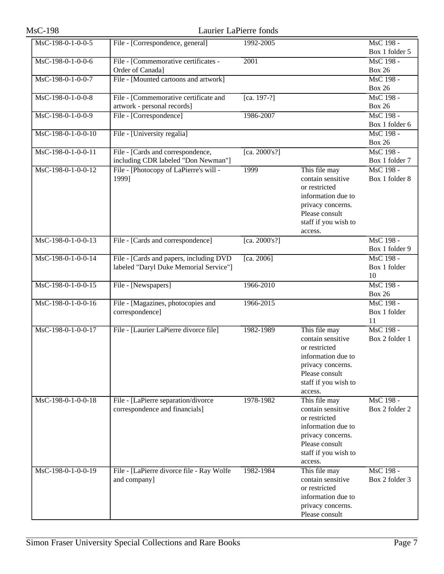| <b>MsC-198</b>       |                                                           | Laurier LaPierre fonds |                                    |                             |
|----------------------|-----------------------------------------------------------|------------------------|------------------------------------|-----------------------------|
| MsC-198-0-1-0-0-5    | File - [Correspondence, general]                          | 1992-2005              |                                    | MsC 198 -<br>Box 1 folder 5 |
| MsC-198-0-1-0-0-6    | File - [Commemorative certificates -                      | 2001                   |                                    | MsC 198 -                   |
|                      | Order of Canada]                                          |                        |                                    | <b>Box 26</b>               |
| MsC-198-0-1-0-0-7    | File - [Mounted cartoons and artwork]                     |                        |                                    | MsC 198 -                   |
|                      |                                                           |                        |                                    | <b>Box 26</b>               |
| MsC-198-0-1-0-0-8    | File - [Commemorative certificate and                     | [ca. 197-?]            |                                    | MsC 198 -                   |
|                      | artwork - personal records]                               |                        |                                    | <b>Box 26</b>               |
| MsC-198-0-1-0-0-9    | File - [Correspondence]                                   | 1986-2007              |                                    | MsC 198 -                   |
|                      |                                                           |                        |                                    | Box 1 folder 6              |
| MsC-198-0-1-0-0-10   | File - [University regalia]                               |                        |                                    | MsC 198 -                   |
| MsC-198-0-1-0-0-11   | File - [Cards and correspondence,                         | [ca. $2000's$ ?]       |                                    | <b>Box 26</b><br>MsC 198 -  |
|                      | including CDR labeled "Don Newman"]                       |                        |                                    | Box 1 folder 7              |
| MsC-198-0-1-0-0-12   | File - [Photocopy of LaPierre's will -                    | 1999                   | This file may                      | MsC 198 -                   |
|                      | 1999]                                                     |                        | contain sensitive                  | Box 1 folder 8              |
|                      |                                                           |                        | or restricted                      |                             |
|                      |                                                           |                        | information due to                 |                             |
|                      |                                                           |                        | privacy concerns.                  |                             |
|                      |                                                           |                        | Please consult                     |                             |
|                      |                                                           |                        | staff if you wish to               |                             |
|                      |                                                           |                        | access.                            |                             |
| MsC-198-0-1-0-0-13   | File - [Cards and correspondence]                         | [ca. 2000's?]          |                                    | MsC 198 -<br>Box 1 folder 9 |
| MsC-198-0-1-0-0-14   | File - [Cards and papers, including DVD                   | [ca. 2006]             |                                    | MsC 198 -                   |
|                      | labeled "Daryl Duke Memorial Service"]                    |                        |                                    | Box 1 folder                |
|                      |                                                           |                        |                                    | 10                          |
| MsC-198-0-1-0-0-15   | File - [Newspapers]                                       | 1966-2010              |                                    | MsC 198 -                   |
|                      |                                                           |                        |                                    | <b>Box 26</b>               |
| $MsC-198-0-1-0-0-16$ | File - [Magazines, photocopies and<br>correspondence]     | 1966-2015              |                                    | MsC 198 -<br>Box 1 folder   |
|                      |                                                           |                        |                                    | 11                          |
| MsC-198-0-1-0-0-17   | File - [Laurier LaPierre divorce file]                    | 1982-1989              | This file may                      | MsC 198 -                   |
|                      |                                                           |                        | contain sensitive                  | Box 2 folder 1              |
|                      |                                                           |                        | or restricted                      |                             |
|                      |                                                           |                        | information due to                 |                             |
|                      |                                                           |                        | privacy concerns.                  |                             |
|                      |                                                           |                        | Please consult                     |                             |
|                      |                                                           |                        | staff if you wish to               |                             |
| MsC-198-0-1-0-0-18   | File - [LaPierre separation/divorce                       | 1978-1982              | access.<br>This file may           | MsC 198 -                   |
|                      | correspondence and financials]                            |                        | contain sensitive                  | Box 2 folder 2              |
|                      |                                                           |                        | or restricted                      |                             |
|                      |                                                           |                        | information due to                 |                             |
|                      |                                                           |                        | privacy concerns.                  |                             |
|                      |                                                           |                        | Please consult                     |                             |
|                      |                                                           |                        | staff if you wish to               |                             |
| MsC-198-0-1-0-0-19   |                                                           | 1982-1984              | access.                            | MsC 198 -                   |
|                      | File - [LaPierre divorce file - Ray Wolfe<br>and company] |                        | This file may<br>contain sensitive | Box 2 folder 3              |
|                      |                                                           |                        | or restricted                      |                             |
|                      |                                                           |                        | information due to                 |                             |
|                      |                                                           |                        | privacy concerns.                  |                             |
|                      |                                                           |                        | Please consult                     |                             |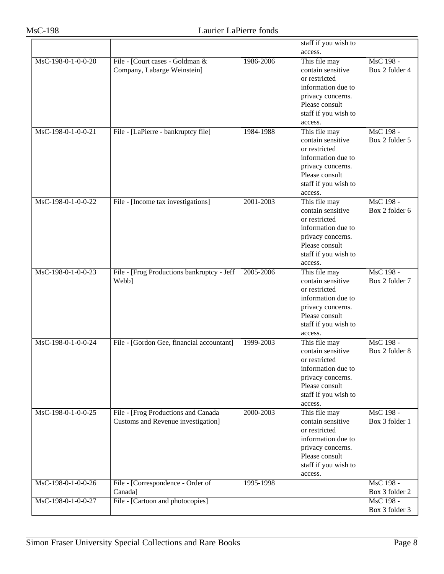|                    |                                            |           | staff if you wish to |                |
|--------------------|--------------------------------------------|-----------|----------------------|----------------|
|                    |                                            |           | access.              |                |
| MsC-198-0-1-0-0-20 | File - [Court cases - Goldman &            | 1986-2006 | This file may        | MsC 198 -      |
|                    | Company, Labarge Weinstein]                |           | contain sensitive    | Box 2 folder 4 |
|                    |                                            |           | or restricted        |                |
|                    |                                            |           | information due to   |                |
|                    |                                            |           |                      |                |
|                    |                                            |           | privacy concerns.    |                |
|                    |                                            |           | Please consult       |                |
|                    |                                            |           | staff if you wish to |                |
|                    |                                            |           | access.              |                |
| MsC-198-0-1-0-0-21 | File - [LaPierre - bankruptcy file]        | 1984-1988 | This file may        | MsC 198 -      |
|                    |                                            |           | contain sensitive    | Box 2 folder 5 |
|                    |                                            |           | or restricted        |                |
|                    |                                            |           | information due to   |                |
|                    |                                            |           | privacy concerns.    |                |
|                    |                                            |           | Please consult       |                |
|                    |                                            |           | staff if you wish to |                |
|                    |                                            |           | access.              |                |
| MsC-198-0-1-0-0-22 | File - [Income tax investigations]         | 2001-2003 | This file may        | MsC 198 -      |
|                    |                                            |           | contain sensitive    | Box 2 folder 6 |
|                    |                                            |           | or restricted        |                |
|                    |                                            |           | information due to   |                |
|                    |                                            |           | privacy concerns.    |                |
|                    |                                            |           | Please consult       |                |
|                    |                                            |           | staff if you wish to |                |
|                    |                                            |           | access.              |                |
| MsC-198-0-1-0-0-23 | File - [Frog Productions bankruptcy - Jeff | 2005-2006 | This file may        | MsC 198 -      |
|                    | Webb]                                      |           | contain sensitive    | Box 2 folder 7 |
|                    |                                            |           | or restricted        |                |
|                    |                                            |           | information due to   |                |
|                    |                                            |           | privacy concerns.    |                |
|                    |                                            |           | Please consult       |                |
|                    |                                            |           | staff if you wish to |                |
|                    |                                            |           | access.              |                |
| MsC-198-0-1-0-0-24 | File - [Gordon Gee, financial accountant]  | 1999-2003 | This file may        | MsC 198 -      |
|                    |                                            |           | contain sensitive    | Box 2 folder 8 |
|                    |                                            |           | or restricted        |                |
|                    |                                            |           | information due to   |                |
|                    |                                            |           | privacy concerns.    |                |
|                    |                                            |           | Please consult       |                |
|                    |                                            |           | staff if you wish to |                |
|                    |                                            |           | access.              |                |
| MsC-198-0-1-0-0-25 | File - [Frog Productions and Canada        | 2000-2003 | This file may        | MsC 198 -      |
|                    | Customs and Revenue investigation]         |           | contain sensitive    | Box 3 folder 1 |
|                    |                                            |           | or restricted        |                |
|                    |                                            |           | information due to   |                |
|                    |                                            |           | privacy concerns.    |                |
|                    |                                            |           | Please consult       |                |
|                    |                                            |           | staff if you wish to |                |
|                    |                                            |           | access.              |                |
| MsC-198-0-1-0-0-26 | File - [Correspondence - Order of          | 1995-1998 |                      | MsC 198 -      |
|                    | Canada]                                    |           |                      | Box 3 folder 2 |
| MsC-198-0-1-0-0-27 | File - [Cartoon and photocopies]           |           |                      | MsC 198 -      |
|                    |                                            |           |                      | Box 3 folder 3 |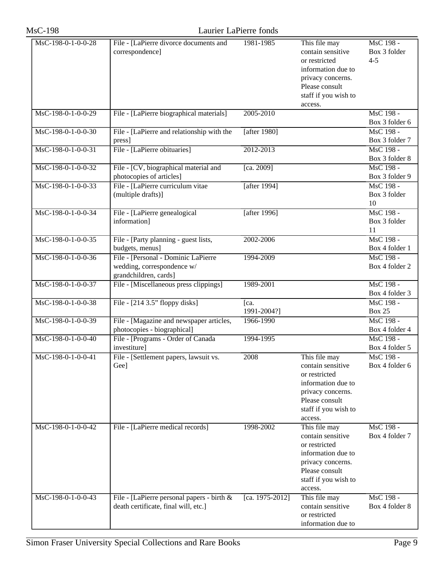| <b>MsC-198</b>     |                                                                                            | Laurier LaPierre fonds |                                                                                                                                                     |                                      |
|--------------------|--------------------------------------------------------------------------------------------|------------------------|-----------------------------------------------------------------------------------------------------------------------------------------------------|--------------------------------------|
| MsC-198-0-1-0-0-28 | File - [LaPierre divorce documents and<br>correspondence]                                  | 1981-1985              | This file may<br>contain sensitive<br>or restricted<br>information due to<br>privacy concerns.<br>Please consult<br>staff if you wish to<br>access. | MsC 198 -<br>Box 3 folder<br>$4 - 5$ |
| MsC-198-0-1-0-0-29 | File - [LaPierre biographical materials]                                                   | 2005-2010              |                                                                                                                                                     | MsC 198 -<br>Box 3 folder 6          |
| MsC-198-0-1-0-0-30 | File - [LaPierre and relationship with the<br>press]                                       | [after 1980]           |                                                                                                                                                     | MsC 198 -<br>Box 3 folder 7          |
| MsC-198-0-1-0-0-31 | File - [LaPierre obituaries]                                                               | 2012-2013              |                                                                                                                                                     | MsC 198 -<br>Box 3 folder 8          |
| MsC-198-0-1-0-0-32 | File - [CV, biographical material and<br>photocopies of articles]                          | [ca. 2009]             |                                                                                                                                                     | MsC 198 -<br>Box 3 folder 9          |
| MsC-198-0-1-0-0-33 | File - [LaPierre curriculum vitae<br>(multiple drafts)]                                    | [after 1994]           |                                                                                                                                                     | MsC 198 -<br>Box 3 folder<br>10      |
| MsC-198-0-1-0-0-34 | File - [LaPierre genealogical]<br>information]                                             | [after 1996]           |                                                                                                                                                     | MsC 198 -<br>Box 3 folder<br>11      |
| MsC-198-0-1-0-0-35 | File - [Party planning - guest lists,<br>budgets, menus]                                   | 2002-2006              |                                                                                                                                                     | MsC 198 -<br>Box 4 folder 1          |
| MsC-198-0-1-0-0-36 | File - [Personal - Dominic LaPierre<br>wedding, correspondence w/<br>grandchildren, cards] | 1994-2009              |                                                                                                                                                     | MsC 198 -<br>Box 4 folder 2          |
| MsC-198-0-1-0-0-37 | File - [Miscellaneous press clippings]                                                     | 1989-2001              |                                                                                                                                                     | MsC 198 -<br>Box 4 folder 3          |
| MsC-198-0-1-0-0-38 | File - $[214 3.5"$ floppy disks]                                                           | [ca.<br>1991-2004?]    |                                                                                                                                                     | MsC 198 -<br><b>Box 25</b>           |
| MsC-198-0-1-0-0-39 | File - [Magazine and newspaper articles,<br>photocopies - biographical]                    | 1966-1990              |                                                                                                                                                     | MsC 198 -<br>Box 4 folder 4          |
| MsC-198-0-1-0-0-40 | File - [Programs - Order of Canada<br>investiture]                                         | 1994-1995              |                                                                                                                                                     | MsC 198 -<br>Box 4 folder 5          |
| MsC-198-0-1-0-0-41 | File - [Settlement papers, lawsuit vs.<br>Gee]                                             | 2008                   | This file may<br>contain sensitive<br>or restricted<br>information due to<br>privacy concerns.<br>Please consult<br>staff if you wish to<br>access. | MsC 198 -<br>Box 4 folder 6          |
| MsC-198-0-1-0-0-42 | File - [LaPierre medical records]                                                          | 1998-2002              | This file may<br>contain sensitive<br>or restricted<br>information due to<br>privacy concerns.<br>Please consult<br>staff if you wish to<br>access. | MsC 198 -<br>Box 4 folder 7          |
| MsC-198-0-1-0-0-43 | File - [LaPierre personal papers - birth $\&$<br>death certificate, final will, etc.]      | [ca. 1975-2012]        | This file may<br>contain sensitive<br>or restricted<br>information due to                                                                           | MsC 198 -<br>Box 4 folder 8          |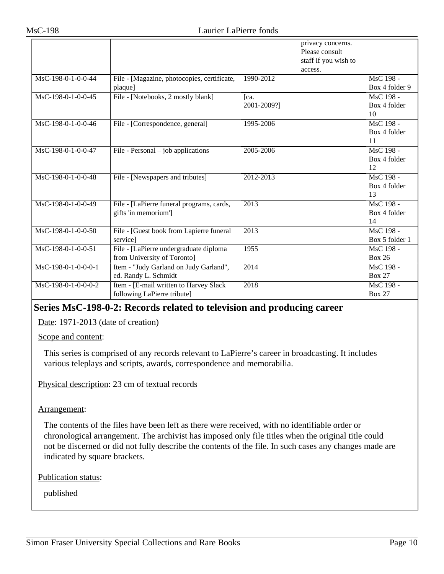|                       |                                                                       |                     | privacy concerns.<br>Please consult<br>staff if you wish to<br>access. |                                 |
|-----------------------|-----------------------------------------------------------------------|---------------------|------------------------------------------------------------------------|---------------------------------|
| MsC-198-0-1-0-0-44    | File - [Magazine, photocopies, certificate,<br>plaque]                | 1990-2012           |                                                                        | MsC 198 -<br>Box 4 folder 9     |
| MsC-198-0-1-0-0-45    | File - [Notebooks, 2 mostly blank]                                    | Ica.<br>2001-2009?] |                                                                        | MsC 198 -<br>Box 4 folder<br>10 |
| MsC-198-0-1-0-0-46    | File - [Correspondence, general]                                      | 1995-2006           |                                                                        | MsC 198 -<br>Box 4 folder<br>11 |
| MsC-198-0-1-0-0-47    | File - Personal – job applications                                    | 2005-2006           |                                                                        | MsC 198 -<br>Box 4 folder<br>12 |
| MsC-198-0-1-0-0-48    | File - [Newspapers and tributes]                                      | 2012-2013           |                                                                        | MsC 198 -<br>Box 4 folder<br>13 |
| MsC-198-0-1-0-0-49    | File - [LaPierre funeral programs, cards,<br>gifts 'in memorium']     | 2013                |                                                                        | MsC 198 -<br>Box 4 folder<br>14 |
| MsC-198-0-1-0-0-50    | File - [Guest book from Lapierre funeral<br>service]                  | 2013                |                                                                        | MsC 198 -<br>Box 5 folder 1     |
| MsC-198-0-1-0-0-51    | File - [LaPierre undergraduate diploma<br>from University of Toronto] | 1955                |                                                                        | MsC 198 -<br><b>Box 26</b>      |
| $MsC-198-0-1-0-0-0-1$ | Item - "Judy Garland on Judy Garland",<br>ed. Randy L. Schmidt        | 2014                |                                                                        | MsC 198 -<br><b>Box 27</b>      |
| MsC-198-0-1-0-0-0-2   | Item - [E-mail written to Harvey Slack<br>following LaPierre tribute] | 2018                |                                                                        | MsC 198 -<br><b>Box 27</b>      |

### <span id="page-9-0"></span>**Series MsC-198-0-2: Records related to television and producing career**

Date: 1971-2013 (date of creation)

Scope and content:

This series is comprised of any records relevant to LaPierre's career in broadcasting. It includes various teleplays and scripts, awards, correspondence and memorabilia.

Physical description: 23 cm of textual records

Arrangement:

The contents of the files have been left as there were received, with no identifiable order or chronological arrangement. The archivist has imposed only file titles when the original title could not be discerned or did not fully describe the contents of the file. In such cases any changes made are indicated by square brackets.

Publication status: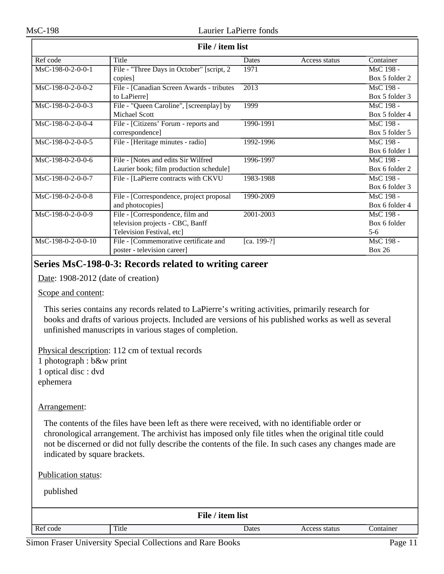| File / item list    |                                            |                   |               |                |
|---------------------|--------------------------------------------|-------------------|---------------|----------------|
| Ref code            | Title                                      | Dates             | Access status | Container      |
| MsC-198-0-2-0-0-1   | File - "Three Days in October" [script, 2] | 1971              |               | MsC 198 -      |
|                     | copies]                                    |                   |               | Box 5 folder 2 |
| MsC-198-0-2-0-0-2   | File - [Canadian Screen Awards - tributes] | $\overline{2013}$ |               | MsC 198 -      |
|                     | to LaPierre]                               |                   |               | Box 5 folder 3 |
| $MsC-198-0-2-0-0-3$ | File - "Queen Caroline", [screenplay] by   | 1999              |               | MsC 198 -      |
|                     | Michael Scott                              |                   |               | Box 5 folder 4 |
| MsC-198-0-2-0-0-4   | File - [Citizens' Forum - reports and      | 1990-1991         |               | MsC 198 -      |
|                     | correspondence]                            |                   |               | Box 5 folder 5 |
| $MsC-198-0-2-0-0-5$ | File - [Heritage minutes - radio]          | 1992-1996         |               | MsC 198 -      |
|                     |                                            |                   |               | Box 6 folder 1 |
| MsC-198-0-2-0-0-6   | File - [Notes and edits Sir Wilfred        | 1996-1997         |               | MsC 198 -      |
|                     | Laurier book; film production schedule]    |                   |               | Box 6 folder 2 |
| MsC-198-0-2-0-0-7   | File - [LaPierre contracts with CKVU       | 1983-1988         |               | MsC 198 -      |
|                     |                                            |                   |               | Box 6 folder 3 |
| MsC-198-0-2-0-0-8   | File - [Correspondence, project proposal   | 1990-2009         |               | MsC 198 -      |
|                     | and photocopies]                           |                   |               | Box 6 folder 4 |
| MsC-198-0-2-0-0-9   | File - [Correspondence, film and           | 2001-2003         |               | MsC 198 -      |
|                     | television projects - CBC, Banff           |                   |               | Box 6 folder   |
|                     | Television Festival, etc]                  |                   |               | $5-6$          |
| MsC-198-0-2-0-0-10  | File - [Commemorative certificate and      | [ca. 199-?]       |               | MsC 198 -      |
|                     | poster - television career]                |                   |               | Box 26         |

### <span id="page-10-0"></span>**Series MsC-198-0-3: Records related to writing career**

Date: 1908-2012 (date of creation)

Scope and content:

This series contains any records related to LaPierre's writing activities, primarily research for books and drafts of various projects. Included are versions of his published works as well as several unfinished manuscripts in various stages of completion.

Physical description: 112 cm of textual records 1 photograph : b&w print 1 optical disc : dvd ephemera

Arrangement:

The contents of the files have been left as there were received, with no identifiable order or chronological arrangement. The archivist has imposed only file titles when the original title could not be discerned or did not fully describe the contents of the file. In such cases any changes made are indicated by square brackets.

Publication status:

| File / item list |       |       |               |           |
|------------------|-------|-------|---------------|-----------|
| Ref code         | Title | Dates | Access status | Container |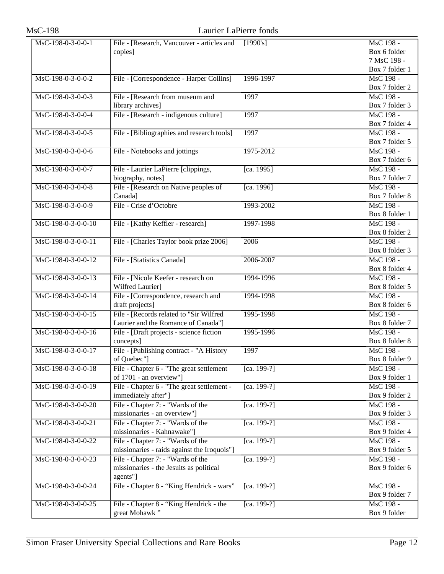| <b>MsC-198</b>     | Laurier LaPierre fonds                                                                   |               |                                                            |
|--------------------|------------------------------------------------------------------------------------------|---------------|------------------------------------------------------------|
| MsC-198-0-3-0-0-1  | File - [Research, Vancouver - articles and<br>copies]                                    | [1990's]      | MsC 198 -<br>Box 6 folder<br>7 MsC 198 -<br>Box 7 folder 1 |
| MsC-198-0-3-0-0-2  | File - [Correspondence - Harper Collins]                                                 | 1996-1997     | MsC 198 -<br>Box 7 folder 2                                |
| MsC-198-0-3-0-0-3  | File - [Research from museum and<br>library archives]                                    | 1997          | MsC 198 -<br>Box 7 folder 3                                |
| MsC-198-0-3-0-0-4  | File - [Research - indigenous culture]                                                   | 1997          | MsC 198 -<br>Box 7 folder 4                                |
| MsC-198-0-3-0-0-5  | File - [Bibliographies and research tools]                                               | 1997          | MsC 198 -<br>Box 7 folder 5                                |
| MsC-198-0-3-0-0-6  | File - Notebooks and jottings                                                            | 1975-2012     | MsC 198 -<br>Box 7 folder 6                                |
| MsC-198-0-3-0-0-7  | File - Laurier LaPierre [clippings,<br>biography, notes]                                 | [ca. 1995]    | MsC 198 -<br>Box 7 folder 7                                |
| MsC-198-0-3-0-0-8  | File - [Research on Native peoples of<br>Canada]                                         | [ca. 1996]    | MsC 198 -<br>Box 7 folder 8                                |
| MsC-198-0-3-0-0-9  | File - Crise d'Octobre                                                                   | 1993-2002     | MsC 198 -<br>Box 8 folder 1                                |
| MsC-198-0-3-0-0-10 | File - [Kathy Keffler - research]                                                        | 1997-1998     | MsC 198 -<br>Box 8 folder 2                                |
| MsC-198-0-3-0-0-11 | File - [Charles Taylor book prize 2006]                                                  | 2006          | MsC 198 -<br>Box 8 folder 3                                |
| MsC-198-0-3-0-0-12 | File - [Statistics Canada]                                                               | 2006-2007     | MsC 198 -<br>Box 8 folder 4                                |
| MsC-198-0-3-0-0-13 | File - [Nicole Keefer - research on<br>Wilfred Laurier]                                  | 1994-1996     | MsC 198 -<br>Box 8 folder 5                                |
| MsC-198-0-3-0-0-14 | File - [Correspondence, research and<br>draft projects]                                  | 1994-1998     | MsC 198 -<br>Box 8 folder 6                                |
| MsC-198-0-3-0-0-15 | File - [Records related to "Sir Wilfred<br>Laurier and the Romance of Canada"]           | 1995-1998     | MsC 198 -<br>Box 8 folder 7                                |
| MsC-198-0-3-0-0-16 | File - [Draft projects - science fiction<br>concepts]                                    | 1995-1996     | MsC 198 -<br>Box 8 folder 8                                |
| MsC-198-0-3-0-0-17 | File - [Publishing contract - "A History<br>of Quebec"]                                  | 1997          | MsC 198 -<br>Box 8 folder 9                                |
| MsC-198-0-3-0-0-18 | File - Chapter 6 - "The great settlement<br>of 1701 - an overview"]                      | [ca. 199-?]   | MsC 198 -<br>Box 9 folder 1                                |
| MsC-198-0-3-0-0-19 | File - Chapter 6 - "The great settlement -<br>immediately after"]                        | [ca. 199-?]   | MsC 198 -<br>Box 9 folder 2                                |
| MsC-198-0-3-0-0-20 | File - Chapter 7: - "Wards of the<br>missionaries - an overview"]                        | [ca. 199-?]   | MsC 198 -<br>Box 9 folder 3                                |
| MsC-198-0-3-0-0-21 | File - Chapter 7: - "Wards of the<br>missionaries - Kahnawake"]                          | $[ca. 199-?]$ | MsC 198 -<br>Box 9 folder 4                                |
| MsC-198-0-3-0-0-22 | File - Chapter 7: - "Wards of the<br>missionaries - raids against the Iroquois"]         | [ca. 199-?]   | MsC 198 -<br>Box 9 folder 5                                |
| MsC-198-0-3-0-0-23 | File - Chapter 7: - "Wards of the<br>missionaries - the Jesuits as political<br>agents"] | [ca. 199-?]   | MsC 198 -<br>Box 9 folder 6                                |
| MsC-198-0-3-0-0-24 | File - Chapter 8 - "King Hendrick - wars"                                                | [ca. 199-?]   | MsC 198 -<br>Box 9 folder 7                                |
| MsC-198-0-3-0-0-25 | File - Chapter 8 - "King Hendrick - the<br>great Mohawk"                                 | [ca. 199-?]   | MsC 198 -<br>Box 9 folder                                  |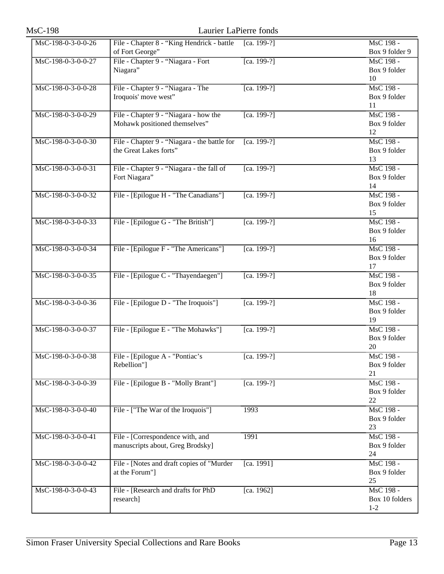| <b>MsC-198</b>       | Laurier LaPierre fonds                                                 |               |                                        |
|----------------------|------------------------------------------------------------------------|---------------|----------------------------------------|
| MsC-198-0-3-0-0-26   | File - Chapter 8 - "King Hendrick - battle<br>of Fort George"          | [ca. 199-?]   | MsC 198 -<br>Box 9 folder 9            |
| MsC-198-0-3-0-0-27   | File - Chapter 9 - "Niagara - Fort<br>Niagara"                         | [ca. 199-?]   | MsC 198 -<br>Box 9 folder<br>10        |
| MsC-198-0-3-0-0-28   | File - Chapter 9 - "Niagara - The<br>Iroquois' move west"              | $[ca. 199-?]$ | MsC 198 -<br>Box 9 folder<br>11        |
| MsC-198-0-3-0-0-29   | File - Chapter 9 - "Niagara - how the<br>Mohawk positioned themselves" | [ca. 199-?]   | MsC 198 -<br>Box 9 folder<br>12        |
| MsC-198-0-3-0-0-30   | File - Chapter 9 - "Niagara - the battle for<br>the Great Lakes forts" | [ca. 199-?]   | MsC 198 -<br>Box 9 folder<br>13        |
| $MsC-198-0-3-0-0-31$ | File - Chapter 9 - "Niagara - the fall of<br>Fort Niagara"             | $[ca. 199-?]$ | MsC 198 -<br>Box 9 folder<br>14        |
| MsC-198-0-3-0-0-32   | File - [Epilogue H - "The Canadians"]                                  | [ca. 199-?]   | MsC 198 -<br>Box 9 folder<br>15        |
| MsC-198-0-3-0-0-33   | File - [Epilogue G - "The British"]                                    | [ca. 199-?]   | MsC 198 -<br>Box 9 folder<br>16        |
| MsC-198-0-3-0-0-34   | File - [Epilogue F - "The Americans"]                                  | [ca. 199-?]   | MsC 198 -<br>Box 9 folder<br>17        |
| MsC-198-0-3-0-0-35   | File - [Epilogue C - "Thayendaegen"]                                   | [ca. 199-?]   | MsC 198 -<br>Box 9 folder<br>18        |
| MsC-198-0-3-0-0-36   | File - [Epilogue D - "The Iroquois"]                                   | [ca. 199-?]   | MsC 198 -<br>Box 9 folder<br>19        |
| MsC-198-0-3-0-0-37   | File - [Epilogue E - "The Mohawks"]                                    | [ca. 199-?]   | MsC 198 -<br>Box 9 folder<br>20        |
| MsC-198-0-3-0-0-38   | File - [Epilogue A - "Pontiac's<br>Rebellion"]                         | [ca. 199-?]   | MsC 198 -<br>Box 9 folder<br>21        |
| MsC-198-0-3-0-0-39   | File - [Epilogue B - "Molly Brant"]                                    | [ca. 199-?]   | MsC 198 -<br>Box 9 folder<br>22        |
| MsC-198-0-3-0-0-40   | File - ["The War of the Iroquois"]                                     | 1993          | MsC 198 -<br>Box 9 folder<br>23        |
| MsC-198-0-3-0-0-41   | File - [Correspondence with, and<br>manuscripts about, Greg Brodsky]   | 1991          | MsC 198 -<br>Box 9 folder<br>24        |
| MsC-198-0-3-0-0-42   | File - [Notes and draft copies of "Murder<br>at the Forum"]            | [ca. 1991]    | MsC 198 -<br>Box 9 folder<br>25        |
| MsC-198-0-3-0-0-43   | File - [Research and drafts for PhD<br>research]                       | [ca. 1962]    | MsC 198 -<br>Box 10 folders<br>$1 - 2$ |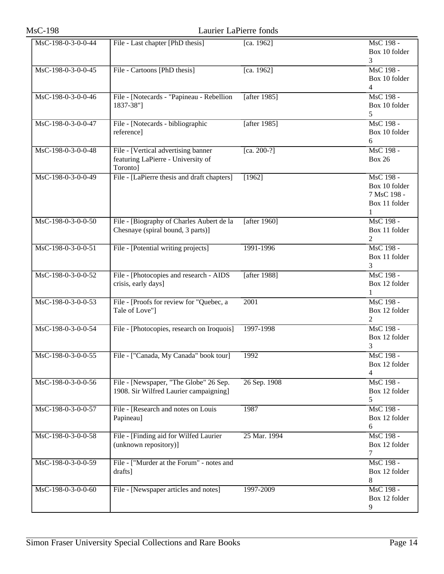| <b>MsC-198</b>       | Laurier LaPierre fonds                                                                |                 |                                                                 |
|----------------------|---------------------------------------------------------------------------------------|-----------------|-----------------------------------------------------------------|
| MsC-198-0-3-0-0-44   | File - Last chapter [PhD thesis]                                                      | [ca. 1962]      | MsC 198 -<br>Box 10 folder<br>3                                 |
| MsC-198-0-3-0-0-45   | File - Cartoons [PhD thesis]                                                          | [ca. 1962]      | MsC 198 -<br>Box 10 folder<br>$\overline{4}$                    |
| MsC-198-0-3-0-0-46   | File - [Notecards - "Papineau - Rebellion<br>1837-38"]                                | [after $1985$ ] | MsC 198 -<br>Box 10 folder<br>5                                 |
| MsC-198-0-3-0-0-47   | File - [Notecards - bibliographic<br>reference]                                       | [after 1985]    | MsC 198 -<br>Box 10 folder<br>6                                 |
| MsC-198-0-3-0-0-48   | File - [Vertical advertising banner<br>featuring LaPierre - University of<br>Toronto] | [ca. 200-?]     | MsC 198 -<br><b>Box 26</b>                                      |
| MsC-198-0-3-0-0-49   | File - [LaPierre thesis and draft chapters]                                           | [1962]          | MsC 198 -<br>Box 10 folder<br>7 MsC 198 -<br>Box 11 folder<br>1 |
| $MsC-198-0-3-0-0-50$ | File - [Biography of Charles Aubert de la<br>Chesnaye (spiral bound, 3 parts)]        | [after $1960$ ] | MsC 198 -<br>Box 11 folder<br>2                                 |
| MsC-198-0-3-0-0-51   | File - [Potential writing projects]                                                   | 1991-1996       | MsC 198 -<br>Box 11 folder<br>3                                 |
| MsC-198-0-3-0-0-52   | File - [Photocopies and research - AIDS<br>crisis, early days]                        | [after 1988]    | MsC 198 -<br>Box 12 folder<br>1                                 |
| MsC-198-0-3-0-0-53   | File - [Proofs for review for "Quebec, a<br>Tale of Love"]                            | 2001            | MsC 198 -<br>Box 12 folder<br>2                                 |
| MsC-198-0-3-0-0-54   | File - [Photocopies, research on Iroquois]                                            | 1997-1998       | MsC 198 -<br>Box 12 folder<br>3                                 |
| MsC-198-0-3-0-0-55   | File - ["Canada, My Canada" book tour]                                                | 1992            | MsC 198 -<br>Box 12 folder<br>4                                 |
| MsC-198-0-3-0-0-56   | File - [Newspaper, "The Globe" 26 Sep.<br>1908. Sir Wilfred Laurier campaigning]      | 26 Sep. 1908    | MsC 198 -<br>Box 12 folder<br>5                                 |
| MsC-198-0-3-0-0-57   | File - [Research and notes on Louis<br>Papineau]                                      | 1987            | MsC 198 -<br>Box 12 folder<br>6                                 |
| MsC-198-0-3-0-0-58   | File - [Finding aid for Wilfed Laurier<br>(unknown repository)]                       | 25 Mar. 1994    | MsC 198 -<br>Box 12 folder<br>7                                 |
| MsC-198-0-3-0-0-59   | File - ["Murder at the Forum" - notes and<br>drafts]                                  |                 | MsC 198 -<br>Box 12 folder<br>8                                 |
| MsC-198-0-3-0-0-60   | File - [Newspaper articles and notes]                                                 | 1997-2009       | MsC 198 -<br>Box 12 folder<br>9                                 |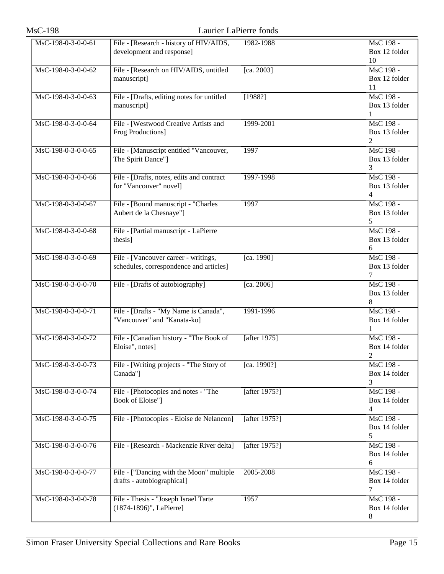| <b>MsC-198</b>     |                                                                                 | Laurier LaPierre fonds |                                  |
|--------------------|---------------------------------------------------------------------------------|------------------------|----------------------------------|
| MsC-198-0-3-0-0-61 | File - [Research - history of HIV/AIDS,<br>development and response]            | 1982-1988              | MsC 198 -<br>Box 12 folder<br>10 |
| MsC-198-0-3-0-0-62 | File - [Research on HIV/AIDS, untitled<br>manuscript]                           | [ca. 2003]             | MsC 198 -<br>Box 12 folder<br>11 |
| MsC-198-0-3-0-0-63 | File - [Drafts, editing notes for untitled<br>manuscript]                       | [1988?]                | MsC 198 -<br>Box 13 folder<br>1  |
| MsC-198-0-3-0-0-64 | File - [Westwood Creative Artists and<br>Frog Productions]                      | 1999-2001              | MsC 198 -<br>Box 13 folder<br>2  |
| MsC-198-0-3-0-0-65 | File - [Manuscript entitled "Vancouver,<br>The Spirit Dance"]                   | 1997                   | MsC 198 -<br>Box 13 folder<br>3  |
| MsC-198-0-3-0-0-66 | File - [Drafts, notes, edits and contract<br>for "Vancouver" novel]             | 1997-1998              | MsC 198 -<br>Box 13 folder<br>4  |
| MsC-198-0-3-0-0-67 | File - [Bound manuscript - "Charles<br>Aubert de la Chesnaye"]                  | 1997                   | MsC 198 -<br>Box 13 folder<br>5  |
| MsC-198-0-3-0-0-68 | File - [Partial manuscript - LaPierre<br>thesis]                                |                        | MsC 198 -<br>Box 13 folder<br>6  |
| MsC-198-0-3-0-0-69 | File - [Vancouver career - writings,<br>schedules, correspondence and articles] | [ca. 1990]             | MsC 198 -<br>Box 13 folder<br>7  |
| MsC-198-0-3-0-0-70 | File - [Drafts of autobiography]                                                | [ca. 2006]             | MsC 198 -<br>Box 13 folder<br>8  |
| MsC-198-0-3-0-0-71 | File - [Drafts - "My Name is Canada",<br>"Vancouver" and "Kanata-ko]            | 1991-1996              | MsC 198 -<br>Box 14 folder<br>1  |
| MsC-198-0-3-0-0-72 | File - [Canadian history - "The Book of<br>Eloise", notes]                      | [after $1975$ ]        | MsC 198 -<br>Box 14 folder<br>2  |
| MsC-198-0-3-0-0-73 | File - [Writing projects - "The Story of<br>Canada"]                            | [ca. 1990?]            | MsC 198 -<br>Box 14 folder<br>3  |
| MsC-198-0-3-0-0-74 | File - [Photocopies and notes - "The<br>Book of Eloise"]                        | [after 1975?]          | MsC 198 -<br>Box 14 folder<br>4  |
| MsC-198-0-3-0-0-75 | File - [Photocopies - Eloise de Nelancon]                                       | [after 1975?]          | MsC 198 -<br>Box 14 folder<br>5  |
| MsC-198-0-3-0-0-76 | File - [Research - Mackenzie River delta]                                       | [after 1975?]          | MsC 198 -<br>Box 14 folder<br>6  |
| MsC-198-0-3-0-0-77 | File - ["Dancing with the Moon" multiple<br>drafts - autobiographical]          | 2005-2008              | MsC 198 -<br>Box 14 folder<br>7  |
| MsC-198-0-3-0-0-78 | File - Thesis - "Joseph Israel Tarte<br>(1874-1896)", LaPierre]                 | 1957                   | MsC 198 -<br>Box 14 folder<br>8  |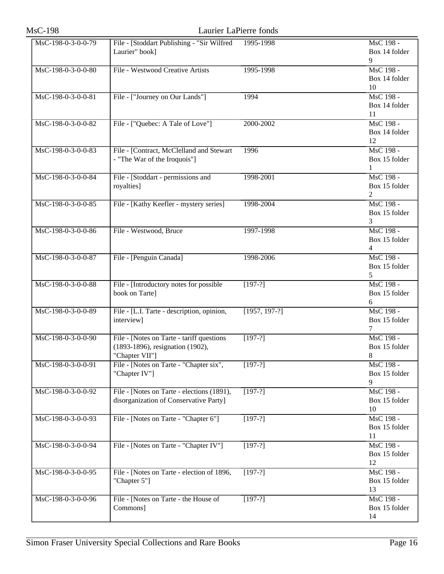| <b>MsC-198</b>     |                                                                                                  | Laurier LaPierre fonds |                                              |
|--------------------|--------------------------------------------------------------------------------------------------|------------------------|----------------------------------------------|
| MsC-198-0-3-0-0-79 | File - [Stoddart Publishing - "Sir Wilfred<br>Laurier" book]                                     | 1995-1998              | MsC 198 -<br>Box 14 folder<br>9              |
| MsC-198-0-3-0-0-80 | File - Westwood Creative Artists                                                                 | 1995-1998              | MsC 198 -<br>Box 14 folder<br>10             |
| MsC-198-0-3-0-0-81 | File - ["Journey on Our Lands"]                                                                  | 1994                   | MsC 198 -<br>Box 14 folder<br>11             |
| MsC-198-0-3-0-0-82 | File - ["Quebec: A Tale of Love"]                                                                | 2000-2002              | MsC 198 -<br>Box 14 folder<br>12             |
| MsC-198-0-3-0-0-83 | File - [Contract, McClelland and Stewart<br>- "The War of the Iroquois"]                         | 1996                   | MsC 198 -<br>Box 15 folder<br>$\mathbf{1}$   |
| MsC-198-0-3-0-0-84 | File - [Stoddart - permissions and<br>royalties]                                                 | 1998-2001              | MsC 198 -<br>Box 15 folder<br>2              |
| MsC-198-0-3-0-0-85 | File - [Kathy Keefler - mystery series]                                                          | 1998-2004              | MsC 198 -<br>Box 15 folder<br>3              |
| MsC-198-0-3-0-0-86 | File - Westwood, Bruce                                                                           | 1997-1998              | MsC 198 -<br>Box 15 folder<br>$\overline{4}$ |
| MsC-198-0-3-0-0-87 | File - [Penguin Canada]                                                                          | 1998-2006              | MsC 198 -<br>Box 15 folder<br>5              |
| MsC-198-0-3-0-0-88 | File - [Introductory notes for possible<br>book on Tarte]                                        | $[197-?]$              | MsC 198 -<br>Box 15 folder<br>6              |
| MsC-198-0-3-0-0-89 | File - [L.I. Tarte - description, opinion,<br>interview]                                         | $[1957, 197-?]$        | MsC 198 -<br>Box 15 folder<br>7              |
| MsC-198-0-3-0-0-90 | File - [Notes on Tarte - tariff questions]<br>(1893-1896), resignation (1902),<br>"Chapter VII"] | $[197-?]$              | MsC 198 -<br>Box 15 folder<br>8              |
| MsC-198-0-3-0-0-91 | File - [Notes on Tarte - "Chapter six",<br>"Chapter IV"]                                         | $[197-?]$              | MsC 198 -<br>Box 15 folder<br>9              |
| MsC-198-0-3-0-0-92 | File - [Notes on Tarte - elections (1891),<br>disorganization of Conservative Party]             | $[197-?]$              | MsC 198 -<br>Box 15 folder<br>10             |
| MsC-198-0-3-0-0-93 | File - [Notes on Tarte - "Chapter 6"]                                                            | $[197-?]$              | MsC 198 -<br>Box 15 folder<br>11             |
| MsC-198-0-3-0-0-94 | File - [Notes on Tarte - "Chapter IV"]                                                           | $[197-?]$              | MsC 198 -<br>Box 15 folder<br>12             |
| MsC-198-0-3-0-0-95 | File - [Notes on Tarte - election of 1896,<br>"Chapter 5"]                                       | $[197-?]$              | MsC 198 -<br>Box 15 folder<br>13             |
| MsC-198-0-3-0-0-96 | File - [Notes on Tarte - the House of<br>Commons]                                                | $[197-?]$              | MsC 198 -<br>Box 15 folder<br>14             |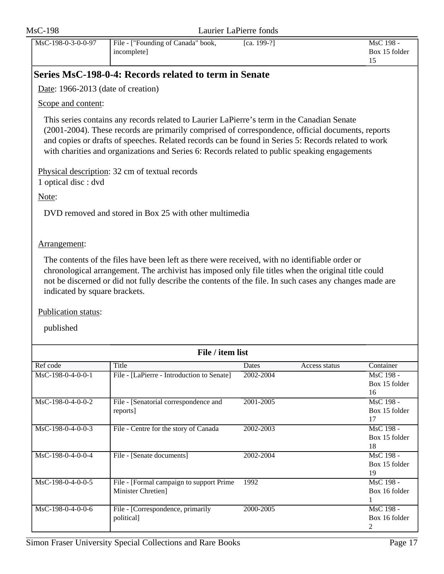<span id="page-16-0"></span>

| <b>MsC-198</b>                                                    | Laurier LaPierre fonds                                                                                                                                                                                                                                                                                                                                                                                  |             |               |                                  |
|-------------------------------------------------------------------|---------------------------------------------------------------------------------------------------------------------------------------------------------------------------------------------------------------------------------------------------------------------------------------------------------------------------------------------------------------------------------------------------------|-------------|---------------|----------------------------------|
| MsC-198-0-3-0-0-97                                                | File - ["Founding of Canada" book,<br>incomplete]                                                                                                                                                                                                                                                                                                                                                       | [ca. 199-?] |               | MsC 198 -<br>Box 15 folder<br>15 |
|                                                                   | Series MsC-198-0-4: Records related to term in Senate                                                                                                                                                                                                                                                                                                                                                   |             |               |                                  |
| Date: $1966-2013$ (date of creation)                              |                                                                                                                                                                                                                                                                                                                                                                                                         |             |               |                                  |
| Scope and content:                                                |                                                                                                                                                                                                                                                                                                                                                                                                         |             |               |                                  |
|                                                                   | This series contains any records related to Laurier LaPierre's term in the Canadian Senate<br>(2001-2004). These records are primarily comprised of correspondence, official documents, reports<br>and copies or drafts of speeches. Related records can be found in Series 5: Records related to work<br>with charities and organizations and Series 6: Records related to public speaking engagements |             |               |                                  |
| 1 optical disc : dvd                                              | Physical description: 32 cm of textual records                                                                                                                                                                                                                                                                                                                                                          |             |               |                                  |
| Note:                                                             |                                                                                                                                                                                                                                                                                                                                                                                                         |             |               |                                  |
|                                                                   | DVD removed and stored in Box 25 with other multimedia                                                                                                                                                                                                                                                                                                                                                  |             |               |                                  |
| Arrangement:                                                      |                                                                                                                                                                                                                                                                                                                                                                                                         |             |               |                                  |
| indicated by square brackets.<br>Publication status:<br>published | The contents of the files have been left as there were received, with no identifiable order or<br>chronological arrangement. The archivist has imposed only file titles when the original title could<br>not be discerned or did not fully describe the contents of the file. In such cases any changes made are                                                                                        |             |               |                                  |
|                                                                   | File / item list                                                                                                                                                                                                                                                                                                                                                                                        |             |               |                                  |
| Ref code                                                          | Title                                                                                                                                                                                                                                                                                                                                                                                                   | Dates       | Access status | Container                        |
| MsC-198-0-4-0-0-1                                                 | File - [LaPierre - Introduction to Senate]                                                                                                                                                                                                                                                                                                                                                              | 2002-2004   |               | MsC 198 -<br>Box 15 folder<br>16 |
| MsC-198-0-4-0-0-2                                                 | File - [Senatorial correspondence and<br>reports]                                                                                                                                                                                                                                                                                                                                                       | 2001-2005   |               | MsC 198 -<br>Box 15 folder<br>17 |
| MsC-198-0-4-0-0-3                                                 | File - Centre for the story of Canada                                                                                                                                                                                                                                                                                                                                                                   | 2002-2003   |               | MsC 198 -<br>Box 15 folder<br>18 |
| MsC-198-0-4-0-0-4                                                 | File - [Senate documents]                                                                                                                                                                                                                                                                                                                                                                               | 2002-2004   |               | MsC 198 -<br>Box 15 folder<br>19 |
| MsC-198-0-4-0-0-5                                                 | File - [Formal campaign to support Prime<br>Minister Chretien]                                                                                                                                                                                                                                                                                                                                          | 1992        |               | MsC 198 -<br>Box 16 folder<br>1  |
| MsC-198-0-4-0-0-6                                                 | File - [Correspondence, primarily<br>political]                                                                                                                                                                                                                                                                                                                                                         | 2000-2005   |               | MsC 198 -<br>Box 16 folder<br>2  |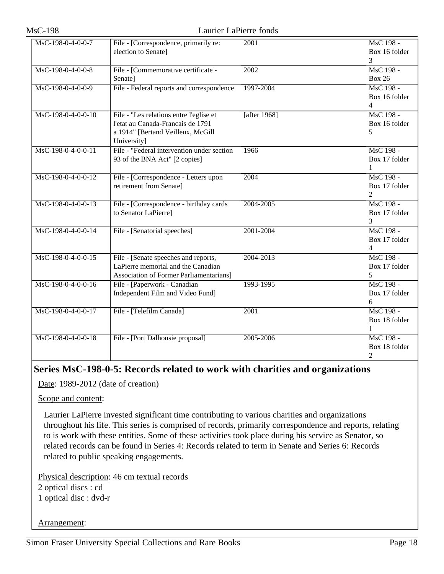| MsC-198-0-4-0-0-7  | File - [Correspondence, primarily re:          | 2001         | MsC 198 -      |
|--------------------|------------------------------------------------|--------------|----------------|
|                    | election to Senate]                            |              | Box 16 folder  |
|                    |                                                |              | 3              |
| MsC-198-0-4-0-0-8  | File - [Commemorative certificate -            | 2002         | MsC 198 -      |
|                    | Senate]                                        |              | <b>Box 26</b>  |
| MsC-198-0-4-0-0-9  | File - Federal reports and correspondence      | 1997-2004    | MsC 198 -      |
|                    |                                                |              | Box 16 folder  |
|                    |                                                |              | $\overline{4}$ |
| MsC-198-0-4-0-0-10 | File - "Les relations entre l'eglise et        | [after 1968] | MsC 198 -      |
|                    | l'etat au Canada-Francais de 1791              |              | Box 16 folder  |
|                    | a 1914" [Bertand Veilleux, McGill              |              | 5              |
|                    | University]                                    |              |                |
| MsC-198-0-4-0-0-11 | File - "Federal intervention under section     | 1966         | MsC 198 -      |
|                    | 93 of the BNA Act" [2 copies]                  |              | Box 17 folder  |
|                    |                                                |              | 1              |
| MsC-198-0-4-0-0-12 | File - [Correspondence - Letters upon          | 2004         | MsC 198 -      |
|                    | retirement from Senate]                        |              | Box 17 folder  |
|                    |                                                |              | $\overline{2}$ |
| MsC-198-0-4-0-0-13 | File - [Correspondence - birthday cards        | 2004-2005    | MsC 198 -      |
|                    | to Senator LaPierre]                           |              | Box 17 folder  |
|                    |                                                |              | 3              |
| MsC-198-0-4-0-0-14 | File - [Senatorial speeches]                   | 2001-2004    | MsC 198 -      |
|                    |                                                |              | Box 17 folder  |
|                    |                                                |              | $\overline{4}$ |
| MsC-198-0-4-0-0-15 | File - [Senate speeches and reports,           | 2004-2013    | MsC 198 -      |
|                    | LaPierre memorial and the Canadian             |              | Box 17 folder  |
|                    | <b>Association of Former Parliamentarians]</b> |              | 5              |
| MsC-198-0-4-0-0-16 | File - [Paperwork - Canadian                   | 1993-1995    | MsC 198 -      |
|                    | Independent Film and Video Fund]               |              | Box 17 folder  |
|                    |                                                |              | 6              |
| MsC-198-0-4-0-0-17 | File - [Telefilm Canada]                       | 2001         | MsC 198 -      |
|                    |                                                |              | Box 18 folder  |
|                    |                                                |              | 1              |
| MsC-198-0-4-0-0-18 | File - [Port Dalhousie proposal]               | 2005-2006    | MsC 198 -      |
|                    |                                                |              | Box 18 folder  |
|                    |                                                |              | $\overline{c}$ |

## <span id="page-17-0"></span>**Series MsC-198-0-5: Records related to work with charities and organizations**

Date: 1989-2012 (date of creation)

Scope and content:

Laurier LaPierre invested significant time contributing to various charities and organizations throughout his life. This series is comprised of records, primarily correspondence and reports, relating to is work with these entities. Some of these activities took place during his service as Senator, so related records can be found in Series 4: Records related to term in Senate and Series 6: Records related to public speaking engagements.

Physical description: 46 cm textual records 2 optical discs : cd 1 optical disc : dvd-r

Arrangement: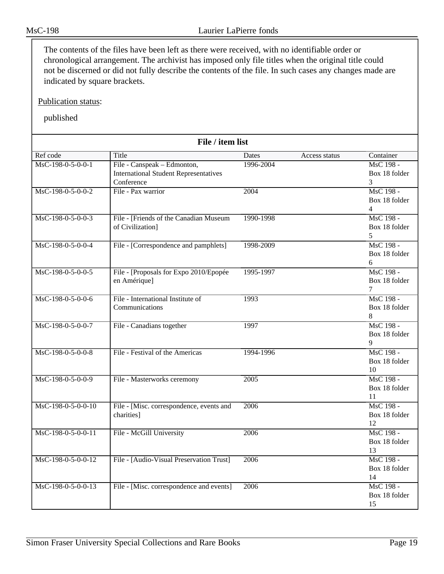The contents of the files have been left as there were received, with no identifiable order or chronological arrangement. The archivist has imposed only file titles when the original title could not be discerned or did not fully describe the contents of the file. In such cases any changes made are indicated by square brackets.

Publication status:

| File / item list     |                                              |           |               |                            |
|----------------------|----------------------------------------------|-----------|---------------|----------------------------|
| Ref code             | Title                                        | Dates     | Access status | Container                  |
| MsC-198-0-5-0-0-1    | File - Canspeak - Edmonton,                  | 1996-2004 |               | MsC 198 -                  |
|                      | <b>International Student Representatives</b> |           |               | Box 18 folder              |
|                      | Conference                                   |           |               | 3                          |
| MsC-198-0-5-0-0-2    | File - Pax warrior                           | 2004      |               | MsC 198 -                  |
|                      |                                              |           |               | Box 18 folder              |
|                      |                                              |           |               | $\overline{4}$             |
| MsC-198-0-5-0-0-3    | File - [Friends of the Canadian Museum       | 1990-1998 |               | MsC 198 -                  |
|                      | of Civilization]                             |           |               | Box 18 folder              |
|                      |                                              |           |               | 5                          |
| MsC-198-0-5-0-0-4    | File - [Correspondence and pamphlets]        | 1998-2009 |               | MsC 198 -                  |
|                      |                                              |           |               | Box 18 folder              |
|                      |                                              |           |               | 6                          |
| MsC-198-0-5-0-0-5    | File - [Proposals for Expo 2010/Epopée       | 1995-1997 |               | MsC 198 -                  |
|                      | en Amérique]                                 |           |               | Box 18 folder              |
|                      |                                              |           |               | $\overline{7}$             |
| MsC-198-0-5-0-0-6    | File - International Institute of            | 1993      |               | MsC 198 -                  |
|                      | Communications                               |           |               | Box 18 folder              |
|                      |                                              |           |               | 8                          |
| MsC-198-0-5-0-0-7    | File - Canadians together                    | 1997      |               | MsC 198 -                  |
|                      |                                              |           |               | Box 18 folder              |
|                      |                                              |           |               | 9                          |
| MsC-198-0-5-0-0-8    | File - Festival of the Americas              | 1994-1996 |               | MsC 198 -                  |
|                      |                                              |           |               | Box 18 folder              |
|                      |                                              |           |               | 10                         |
| MsC-198-0-5-0-0-9    | File - Masterworks ceremony                  | 2005      |               | MsC 198 -                  |
|                      |                                              |           |               | Box 18 folder              |
|                      |                                              |           |               | 11                         |
| MsC-198-0-5-0-0-10   | File - [Misc. correspondence, events and     | 2006      |               | MsC 198 -<br>Box 18 folder |
|                      | charities]                                   |           |               | 12                         |
| MsC-198-0-5-0-0-11   |                                              | 2006      |               | MsC 198 -                  |
|                      | File - McGill University                     |           |               | Box 18 folder              |
|                      |                                              |           |               | 13                         |
| $MsC-198-0-5-0-0-12$ | File - [Audio-Visual Preservation Trust]     | 2006      |               | MsC 198 -                  |
|                      |                                              |           |               | Box 18 folder              |
|                      |                                              |           |               | 14                         |
| MsC-198-0-5-0-0-13   | File - [Misc. correspondence and events]     | 2006      |               | MsC 198 -                  |
|                      |                                              |           |               | Box 18 folder              |
|                      |                                              |           |               | 15                         |
|                      |                                              |           |               |                            |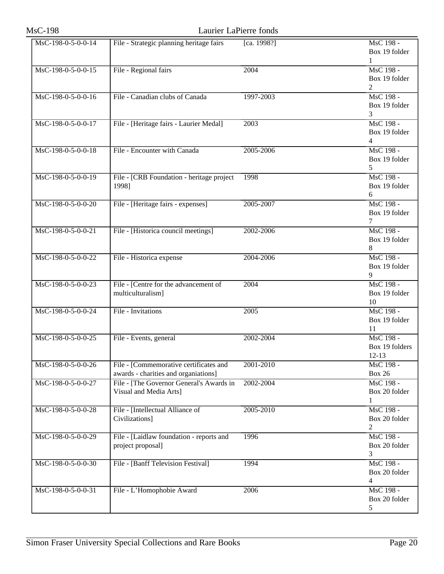| <b>MsC-198</b>     | Laurier LaPierre fonds                                                         |             |                                              |
|--------------------|--------------------------------------------------------------------------------|-------------|----------------------------------------------|
| MsC-198-0-5-0-0-14 | File - Strategic planning heritage fairs                                       | [ca. 1998?] | MsC 198 -<br>Box 19 folder<br>1              |
| MsC-198-0-5-0-0-15 | File - Regional fairs                                                          | 2004        | MsC 198 -<br>Box 19 folder<br>2              |
| MsC-198-0-5-0-0-16 | File - Canadian clubs of Canada                                                | 1997-2003   | MsC 198 -<br>Box 19 folder<br>3              |
| MsC-198-0-5-0-0-17 | File - [Heritage fairs - Laurier Medal]                                        | 2003        | MsC 198 -<br>Box 19 folder<br>$\overline{4}$ |
| MsC-198-0-5-0-0-18 | File - Encounter with Canada                                                   | 2005-2006   | MsC 198 -<br>Box 19 folder<br>5              |
| MsC-198-0-5-0-0-19 | File - [CRB Foundation - heritage project<br>1998]                             | 1998        | MsC 198 -<br>Box 19 folder<br>6              |
| MsC-198-0-5-0-0-20 | File - [Heritage fairs - expenses]                                             | 2005-2007   | MsC 198 -<br>Box 19 folder<br>7              |
| MsC-198-0-5-0-0-21 | File - [Historica council meetings]                                            | 2002-2006   | MsC 198 -<br>Box 19 folder<br>8              |
| MsC-198-0-5-0-0-22 | File - Historica expense                                                       | 2004-2006   | MsC 198 -<br>Box 19 folder<br>9              |
| MsC-198-0-5-0-0-23 | File - [Centre for the advancement of<br>multiculturalism]                     | 2004        | MsC 198 -<br>Box 19 folder<br>10             |
| MsC-198-0-5-0-0-24 | File - Invitations                                                             | 2005        | MsC 198 -<br>Box 19 folder<br>11             |
| MsC-198-0-5-0-0-25 | File - Events, general                                                         | 2002-2004   | MsC 198 -<br>Box 19 folders<br>$12 - 13$     |
| MsC-198-0-5-0-0-26 | File - [Commemorative certificates and<br>awards - charities and organiations] | 2001-2010   | MsC 198 -<br><b>Box 26</b>                   |
| MsC-198-0-5-0-0-27 | File - [The Governor General's Awards in<br>Visual and Media Arts]             | 2002-2004   | MsC 198 -<br>Box 20 folder<br>1              |
| MsC-198-0-5-0-0-28 | File - [Intellectual Alliance of<br>Civilizations]                             | 2005-2010   | MsC 198 -<br>Box 20 folder<br>2              |
| MsC-198-0-5-0-0-29 | File - [Laidlaw foundation - reports and<br>project proposal]                  | 1996        | MsC 198 -<br>Box 20 folder<br>3              |
| MsC-198-0-5-0-0-30 | File - [Banff Television Festival]                                             | 1994        | MsC 198 -<br>Box 20 folder<br>4              |
| MsC-198-0-5-0-0-31 | File - L'Homophobie Award                                                      | 2006        | MsC 198 -<br>Box 20 folder<br>5              |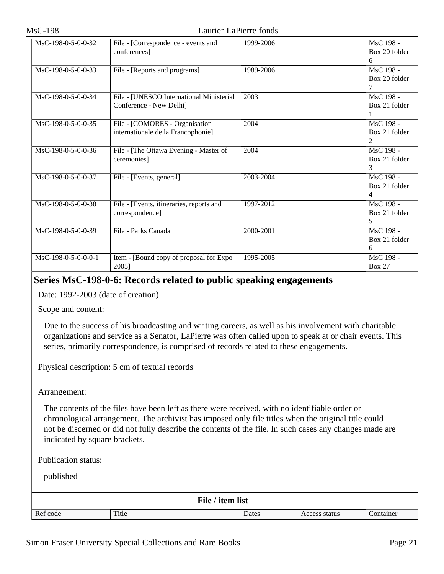| MsC-198-0-5-0-0-32    | File - [Correspondence - events and      | 1999-2006 | MsC 198 -<br>Box 20 folder |
|-----------------------|------------------------------------------|-----------|----------------------------|
|                       | conferences]                             |           | 6                          |
| $MsC-198-0-5-0-0-33$  | File - [Reports and programs]            | 1989-2006 | MsC 198 -                  |
|                       |                                          |           | Box 20 folder              |
|                       |                                          |           | 7                          |
| MsC-198-0-5-0-0-34    | File - [UNESCO International Ministerial | 2003      | MsC 198 -                  |
|                       | Conference - New Delhi]                  |           | Box 21 folder              |
|                       |                                          |           |                            |
| MsC-198-0-5-0-0-35    | File - [COMORES - Organisation           | 2004      | MsC 198 -                  |
|                       | internationale de la Francophonie]       |           | Box 21 folder              |
|                       |                                          |           |                            |
| $MsC-198-0-5-0-0-36$  | File - [The Ottawa Evening - Master of   | 2004      | MsC 198 -                  |
|                       | ceremonies]                              |           | Box 21 folder              |
|                       |                                          |           | 3                          |
| MsC-198-0-5-0-0-37    | File - [Events, general]                 | 2003-2004 | MsC 198 -                  |
|                       |                                          |           | Box 21 folder              |
|                       |                                          |           | 4                          |
| $MsC-198-0-5-0-0-38$  | File - [Events, itineraries, reports and | 1997-2012 | MsC 198 -                  |
|                       | correspondence]                          |           | Box 21 folder              |
|                       |                                          |           | 5                          |
| MsC-198-0-5-0-0-39    | File - Parks Canada                      | 2000-2001 | MsC 198 -                  |
|                       |                                          |           | Box 21 folder              |
|                       |                                          |           | 6                          |
| $MsC-198-0-5-0-0-0-1$ | Item - [Bound copy of proposal for Expo  | 1995-2005 | MsC 198 -                  |
|                       | 2005]                                    |           | <b>Box 27</b>              |

# <span id="page-20-0"></span>**Series MsC-198-0-6: Records related to public speaking engagements**

Date: 1992-2003 (date of creation)

Scope and content:

Due to the success of his broadcasting and writing careers, as well as his involvement with charitable organizations and service as a Senator, LaPierre was often called upon to speak at or chair events. This series, primarily correspondence, is comprised of records related to these engagements.

Physical description: 5 cm of textual records

#### Arrangement:

The contents of the files have been left as there were received, with no identifiable order or chronological arrangement. The archivist has imposed only file titles when the original title could not be discerned or did not fully describe the contents of the file. In such cases any changes made are indicated by square brackets.

Publication status:

| File / item list |       |       |               |           |
|------------------|-------|-------|---------------|-----------|
| Ref code         | Title | Dates | Access status | Container |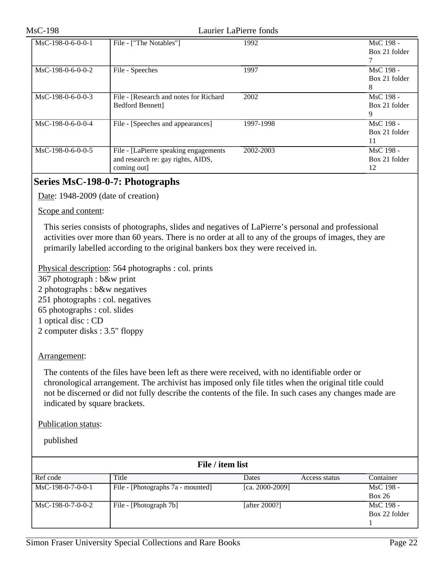| $MsC-198-0-6-0-0-1$ | File - ["The Notables"]                                                                     | 1992      | MsC 198 -<br>Box 21 folder       |
|---------------------|---------------------------------------------------------------------------------------------|-----------|----------------------------------|
| $MsC-198-0-6-0-0-2$ | File - Speeches                                                                             | 1997      | MsC 198 -<br>Box 21 folder<br>8  |
| $MsC-198-0-6-0-0-3$ | File - [Research and notes for Richard]<br>Bedford Bennett]                                 | 2002      | MsC 198 -<br>Box 21 folder<br>9  |
| $MsC-198-0-6-0-0-4$ | File - [Speeches and appearances]                                                           | 1997-1998 | MsC 198 -<br>Box 21 folder<br>11 |
| $MsC-198-0-6-0-0-5$ | File - [LaPierre speaking engagements]<br>and research re: gay rights, AIDS,<br>coming out] | 2002-2003 | MsC 198 -<br>Box 21 folder<br>12 |

# <span id="page-21-0"></span>**Series MsC-198-0-7: Photographs**

Date: 1948-2009 (date of creation)

Scope and content:

This series consists of photographs, slides and negatives of LaPierre's personal and professional activities over more than 60 years. There is no order at all to any of the groups of images, they are primarily labelled according to the original bankers box they were received in.

Physical description: 564 photographs : col. prints 367 photograph : b&w print 2 photographs : b&w negatives 251 photographs : col. negatives 65 photographs : col. slides 1 optical disc : CD 2 computer disks : 3.5" floppy

### Arrangement:

The contents of the files have been left as there were received, with no identifiable order or chronological arrangement. The archivist has imposed only file titles when the original title could not be discerned or did not fully describe the contents of the file. In such cases any changes made are indicated by square brackets.

#### Publication status:

| File / item list    |                                   |                      |               |                            |
|---------------------|-----------------------------------|----------------------|---------------|----------------------------|
| Ref code            | Title                             | Dates                | Access status | Container                  |
| $MsC-198-0-7-0-0-1$ | File - [Photographs 7a - mounted] | [ca. $2000 - 2009$ ] |               | MsC 198 -<br>Box 26        |
| $MsC-198-0-7-0-0-2$ | File - [Photograph 7b]            | [after $2000$ ?]     |               | MsC 198 -<br>Box 22 folder |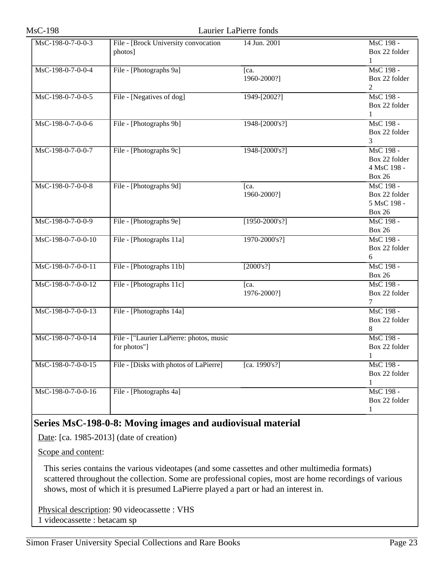| MsC-198-0-7-0-0-3  | File - [Brock University convocation     | 14 Jun. 2001     | MsC 198 -                  |
|--------------------|------------------------------------------|------------------|----------------------------|
|                    | photos]                                  |                  | Box 22 folder              |
|                    |                                          |                  | 1                          |
| MsC-198-0-7-0-0-4  | File - [Photographs 9a]                  | Ica.             | MsC 198 -                  |
|                    |                                          | 1960-2000?]      | Box 22 folder              |
|                    |                                          |                  | 2                          |
| MsC-198-0-7-0-0-5  | File - [Negatives of dog]                | 1949-[2002?]     | MsC 198 -                  |
|                    |                                          |                  | Box 22 folder              |
|                    |                                          |                  | 1                          |
| MsC-198-0-7-0-0-6  | File - [Photographs 9b]                  | 1948-[2000's?]   | MsC 198 -                  |
|                    |                                          |                  | Box 22 folder              |
|                    |                                          |                  | 3                          |
| MsC-198-0-7-0-0-7  | File - [Photographs 9c]                  | 1948-[2000's?]   | MsC 198 -                  |
|                    |                                          |                  | Box 22 folder              |
|                    |                                          |                  | 4 MsC 198 -                |
|                    |                                          |                  | <b>Box 26</b>              |
| MsC-198-0-7-0-0-8  | File - [Photographs 9d]                  | [ca.             | MsC 198 -                  |
|                    |                                          | 1960-2000?]      | Box 22 folder              |
|                    |                                          |                  | 5 MsC 198 -                |
|                    |                                          |                  | <b>Box 26</b>              |
| MsC-198-0-7-0-0-9  | File - [Photographs 9e]                  | $[1950-2000's?]$ | MsC 198 -                  |
|                    |                                          |                  |                            |
|                    |                                          |                  | <b>Box 26</b><br>MsC 198 - |
| MsC-198-0-7-0-0-10 | File - [Photographs 11a]                 | 1970-2000's?]    |                            |
|                    |                                          |                  | Box 22 folder              |
|                    |                                          |                  | 6                          |
| MsC-198-0-7-0-0-11 | File - [Photographs 11b]                 | [2000's?]        | MsC 198 -                  |
|                    |                                          |                  | <b>Box 26</b>              |
| MsC-198-0-7-0-0-12 | File - [Photographs 11c]                 | [ca.             | MsC 198 -                  |
|                    |                                          | 1976-2000?]      | Box 22 folder              |
|                    |                                          |                  | 7                          |
| MsC-198-0-7-0-0-13 | File - [Photographs 14a]                 |                  | MsC 198 -                  |
|                    |                                          |                  | Box 22 folder              |
|                    |                                          |                  | 8                          |
| MsC-198-0-7-0-0-14 | File - ["Laurier LaPierre: photos, music |                  | MsC 198 -                  |
|                    | for photos"]                             |                  | Box 22 folder              |
|                    |                                          |                  | 1                          |
| MsC-198-0-7-0-0-15 | File - [Disks with photos of LaPierre]   | [ca. 1990's?]    | MsC 198 -                  |
|                    |                                          |                  | Box 22 folder              |
|                    |                                          |                  | 1                          |
| MsC-198-0-7-0-0-16 | File - [Photographs 4a]                  |                  | MsC 198 -                  |
|                    |                                          |                  | Box 22 folder              |
|                    |                                          |                  | $\mathbf{1}$               |

## <span id="page-22-0"></span>**Series MsC-198-0-8: Moving images and audiovisual material**

Date: [ca. 1985-2013] (date of creation)

Scope and content:

This series contains the various videotapes (and some cassettes and other multimedia formats) scattered throughout the collection. Some are professional copies, most are home recordings of various shows, most of which it is presumed LaPierre played a part or had an interest in.

Physical description: 90 videocassette : VHS 1 videocassette : betacam sp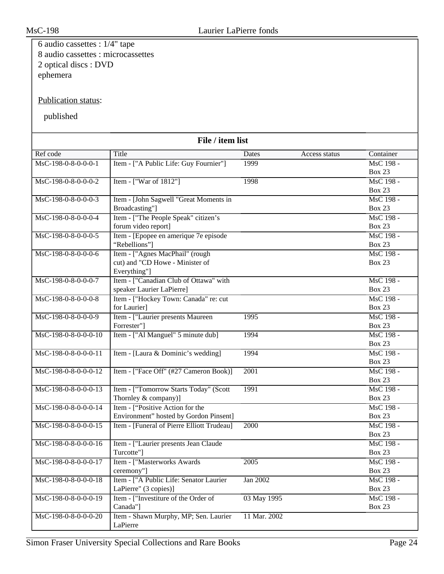| 6 audio cassettes : $1/4$ " tape   |                                                             |              |               |                               |  |
|------------------------------------|-------------------------------------------------------------|--------------|---------------|-------------------------------|--|
| 8 audio cassettes : microcassettes |                                                             |              |               |                               |  |
| 2 optical discs : DVD              |                                                             |              |               |                               |  |
| ephemera                           |                                                             |              |               |                               |  |
|                                    |                                                             |              |               |                               |  |
|                                    |                                                             |              |               |                               |  |
| Publication status:                |                                                             |              |               |                               |  |
| published                          |                                                             |              |               |                               |  |
|                                    |                                                             |              |               |                               |  |
|                                    |                                                             |              |               |                               |  |
| File / item list                   |                                                             |              |               |                               |  |
| Ref code                           | Title                                                       | Dates        | Access status | Container                     |  |
| MsC-198-0-8-0-0-0-1                | Item - ["A Public Life: Guy Fournier"]                      | 1999         |               | MsC 198 -                     |  |
|                                    |                                                             |              |               | <b>Box 23</b>                 |  |
| MsC-198-0-8-0-0-0-2                | Item - ["War of 1812"]                                      | 1998         |               | MsC 198 -                     |  |
|                                    |                                                             |              |               | <b>Box 23</b>                 |  |
| MsC-198-0-8-0-0-0-3                | Item - [John Sagwell "Great Moments in                      |              |               | $\overline{\text{MsC}}$ 198 - |  |
|                                    | Broadcasting"]                                              |              |               | <b>Box 23</b>                 |  |
| MsC-198-0-8-0-0-0-4                | Item - ["The People Speak" citizen's<br>forum video report] |              |               | MsC 198 -<br><b>Box 23</b>    |  |
| MsC-198-0-8-0-0-0-5                | Item - [Epopee en amerique 7e episode]                      |              |               | MsC 198 -                     |  |
|                                    | "Rebellions"]                                               |              |               | <b>Box 23</b>                 |  |
| MsC-198-0-8-0-0-0-6                | Item - ["Agnes MacPhail" (rough                             |              |               | MsC 198 -                     |  |
|                                    | cut) and "CD Howe - Minister of                             |              |               | <b>Box 23</b>                 |  |
|                                    | Everything"]                                                |              |               |                               |  |
| MsC-198-0-8-0-0-0-7                | Item - ["Canadian Club of Ottawa" with                      |              |               | MsC 198 -                     |  |
|                                    | speaker Laurier LaPierre]                                   |              |               | <b>Box 23</b>                 |  |
| MsC-198-0-8-0-0-0-8                | Item - ["Hockey Town: Canada" re: cut                       |              |               | MsC 198 -                     |  |
|                                    | for Laurier]                                                |              |               | <b>Box 23</b>                 |  |
| MsC-198-0-8-0-0-0-9                | Item - ["Laurier presents Maureen                           | 1995         |               | MsC 198 -                     |  |
|                                    | Forrester"]                                                 |              |               | <b>Box 23</b>                 |  |
| MsC-198-0-8-0-0-0-10               | Item - ["Al Manguel" 5 minute dub]                          | 1994         |               | MsC 198 -                     |  |
| MsC-198-0-8-0-0-0-11               | Item - [Laura & Dominic's wedding]                          | 1994         |               | <b>Box 23</b><br>MsC 198 -    |  |
|                                    |                                                             |              |               | <b>Box 23</b>                 |  |
| MsC-198-0-8-0-0-0-12               | Item - ["Face Off" (#27 Cameron Book)]                      | 2001         |               | MsC 198 -                     |  |
|                                    |                                                             |              |               | <b>Box 23</b>                 |  |
| MsC-198-0-8-0-0-0-13               | Item - ["Tomorrow Starts Today" (Scott                      | 1991         |               | MsC 198 -                     |  |
|                                    | Thornley & company)]                                        |              |               | <b>Box 23</b>                 |  |
| MsC-198-0-8-0-0-0-14               | Item - ["Positive Action for the                            |              |               | MsC 198 -                     |  |
|                                    | Environment" hosted by Gordon Pinsent]                      |              |               | Box 23                        |  |
| MsC-198-0-8-0-0-0-15               | Item - [Funeral of Pierre Elliott Trudeau]                  | 2000         |               | MsC 198 -                     |  |
|                                    |                                                             |              |               | Box 23                        |  |
| MsC-198-0-8-0-0-0-16               | Item - ["Laurier presents Jean Claude                       |              |               | MsC 198 -                     |  |
|                                    | Turcotte"]                                                  |              |               | <b>Box 23</b>                 |  |
| MsC-198-0-8-0-0-0-17               | Item - ["Masterworks Awards                                 | 2005         |               | MsC 198 -<br><b>Box 23</b>    |  |
| MsC-198-0-8-0-0-0-18               | ceremony"]<br>Item - ["A Public Life: Senator Laurier       | Jan 2002     |               | MsC 198 -                     |  |
|                                    | LaPierre" (3 copies)]                                       |              |               | <b>Box 23</b>                 |  |
| MsC-198-0-8-0-0-0-19               | Item - ["Investiture of the Order of                        | 03 May 1995  |               | MsC 198 -                     |  |
|                                    | Canada"]                                                    |              |               | <b>Box 23</b>                 |  |
| MsC-198-0-8-0-0-0-20               | Item - Shawn Murphy, MP; Sen. Laurier                       | 11 Mar. 2002 |               |                               |  |
|                                    | LaPierre                                                    |              |               |                               |  |
|                                    |                                                             |              |               |                               |  |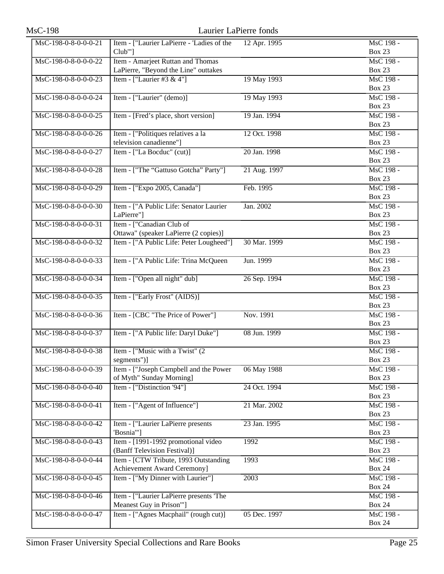| <b>MsC-198</b>       |                                            | Laurier LaPierre fonds |                            |
|----------------------|--------------------------------------------|------------------------|----------------------------|
| MsC-198-0-8-0-0-0-21 | Item - ["Laurier LaPierre - 'Ladies of the | 12 Apr. 1995           | MsC 198 -                  |
|                      | $Club'''$ ]                                |                        | <b>Box 23</b>              |
| MsC-198-0-8-0-0-0-22 | Item - Amarjeet Ruttan and Thomas          |                        | MsC 198 -                  |
|                      | LaPierre, "Beyond the Line" outtakes       |                        | <b>Box 23</b>              |
| MsC-198-0-8-0-0-0-23 | Item - ["Laurier #3 & 4"]                  | 19 May 1993            | MsC 198 -                  |
|                      |                                            |                        | <b>Box 23</b>              |
| MsC-198-0-8-0-0-0-24 | Item - ["Laurier" (demo)]                  | 19 May 1993            | MsC 198 -                  |
|                      |                                            |                        | <b>Box 23</b>              |
| MsC-198-0-8-0-0-0-25 | Item - [Fred's place, short version]       | 19 Jan. 1994           | MsC 198 -                  |
|                      |                                            |                        | <b>Box 23</b>              |
| MsC-198-0-8-0-0-0-26 | Item - ["Politiques relatives a la         | 12 Oct. 1998           | MsC 198 -                  |
|                      | television canadienne"]                    |                        | <b>Box 23</b>              |
| MsC-198-0-8-0-0-0-27 | Item - ["La Bocduc" (cut)]                 | 20 Jan. 1998           | MsC 198 -                  |
|                      |                                            |                        | <b>Box 23</b>              |
| MsC-198-0-8-0-0-0-28 | Item - ["The "Gattuso Gotcha" Party"]      | 21 Aug. 1997           | MsC 198 -                  |
|                      |                                            |                        | <b>Box 23</b>              |
| MsC-198-0-8-0-0-0-29 | Item - ["Expo 2005, Canada"]               | Feb. 1995              | MsC 198 -                  |
|                      |                                            |                        | <b>Box 23</b>              |
| MsC-198-0-8-0-0-0-30 | Item - ["A Public Life: Senator Laurier    | Jan. 2002              | MsC 198 -                  |
|                      | LaPierre"]                                 |                        | <b>Box 23</b>              |
| MsC-198-0-8-0-0-0-31 | Item - ["Canadian Club of                  |                        | MsC 198 -                  |
|                      | Ottawa" (speaker LaPierre (2 copies)]      |                        | <b>Box 23</b>              |
| MsC-198-0-8-0-0-0-32 | Item - ["A Public Life: Peter Lougheed"]   | 30 Mar. 1999           | MsC 198 -                  |
|                      |                                            |                        | <b>Box 23</b>              |
| MsC-198-0-8-0-0-0-33 | Item - ["A Public Life: Trina McQueen      | Jun. 1999              | MsC 198 -                  |
|                      |                                            |                        | <b>Box 23</b>              |
| MsC-198-0-8-0-0-0-34 | Item - ["Open all night" dub]              | 26 Sep. 1994           | MsC 198 -                  |
|                      |                                            |                        | <b>Box 23</b>              |
| MsC-198-0-8-0-0-0-35 | Item - ["Early Frost" (AIDS)]              |                        | MsC 198 -                  |
|                      |                                            |                        | <b>Box 23</b>              |
| MsC-198-0-8-0-0-0-36 | Item - [CBC "The Price of Power"]          | Nov. 1991              | MsC 198 -<br><b>Box 23</b> |
| MsC-198-0-8-0-0-0-37 | Item - ["A Public life: Daryl Duke"]       | 08 Jun. 1999           | MsC 198 -                  |
|                      |                                            |                        | <b>Box 23</b>              |
| MsC-198-0-8-0-0-0-38 | Item - ["Music with a Twist" (2)           |                        | MsC 198 -                  |
|                      | segments")]                                |                        | <b>Box 23</b>              |
| MsC-198-0-8-0-0-0-39 | Item - ["Joseph Campbell and the Power     | 06 May 1988            | MsC 198 -                  |
|                      | of Myth" Sunday Morning]                   |                        | Box 23                     |
| MsC-198-0-8-0-0-0-40 | Item - ["Distinction '94"]                 | 24 Oct. 1994           | MsC 198 -                  |
|                      |                                            |                        | <b>Box 23</b>              |
| MsC-198-0-8-0-0-0-41 | Item - ["Agent of Influence"]              | 21 Mar. 2002           | MsC 198 -                  |
|                      |                                            |                        | Box 23                     |
| MsC-198-0-8-0-0-0-42 | Item - ["Laurier LaPierre presents         | 23 Jan. 1995           | MsC 198 -                  |
|                      | 'Bosnia'"]                                 |                        | <b>Box 23</b>              |
| MsC-198-0-8-0-0-0-43 | Item - [1991-1992 promotional video        | 1992                   | MsC 198 -                  |
|                      | (Banff Television Festival)]               |                        | Box 23                     |
| MsC-198-0-8-0-0-0-44 | Item - [CTW Tribute, 1993 Outstanding      | 1993                   | MsC 198 -                  |
|                      | Achievement Award Ceremony]                |                        | <b>Box 24</b>              |
| MsC-198-0-8-0-0-0-45 | Item - ["My Dinner with Laurier"]          | 2003                   | MsC 198 -                  |
|                      |                                            |                        | <b>Box 24</b>              |
| MsC-198-0-8-0-0-0-46 | Item - ["Laurier LaPierre presents 'The    |                        | MsC 198 -                  |
|                      | Meanest Guy in Prison"']                   |                        | <b>Box 24</b>              |
| MsC-198-0-8-0-0-0-47 | Item - ["Agnes Macphail" (rough cut)]      | 05 Dec. 1997           | MsC 198 -                  |
|                      |                                            |                        | <b>Box 24</b>              |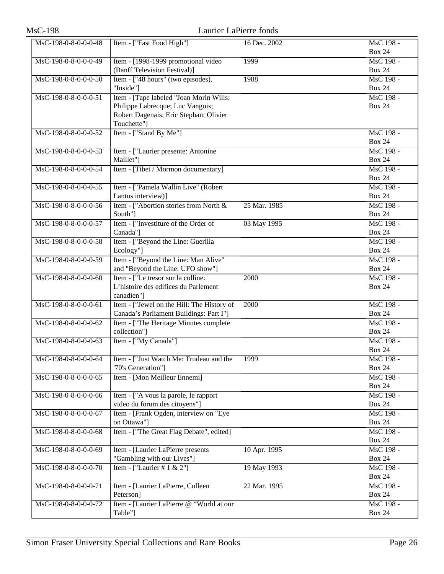| <b>MsC-198</b>       | Laurier LaPierre fonds                                                 |              |                            |
|----------------------|------------------------------------------------------------------------|--------------|----------------------------|
| MsC-198-0-8-0-0-0-48 | Item - ["Fast Food High"]                                              | 16 Dec. 2002 | MsC 198 -                  |
|                      |                                                                        |              | <b>Box 24</b>              |
| MsC-198-0-8-0-0-0-49 | Item - [1998-1999 promotional video                                    | 1999         | MsC 198 -                  |
|                      | (Banff Television Festival)]                                           |              | <b>Box 24</b>              |
| MsC-198-0-8-0-0-0-50 | Item - ["48 hours" (two episodes),                                     | 1988         | MsC 198 -                  |
|                      | "Inside"]                                                              |              | <b>Box 24</b>              |
| MsC-198-0-8-0-0-0-51 | Item - [Tape labeled "Joan Morin Wills;                                |              | MsC 198 -                  |
|                      | Philippe Labrecque; Luc Vangois;                                       |              | <b>Box 24</b>              |
|                      | Robert Dagenais; Eric Stephan; Olivier<br>Touchette"]                  |              |                            |
| MsC-198-0-8-0-0-0-52 | Item - ["Stand By Me"]                                                 |              | MsC 198 -                  |
|                      |                                                                        |              | <b>Box 24</b>              |
| MsC-198-0-8-0-0-0-53 | Item - ["Laurier presente: Antonine                                    |              | MsC 198 -                  |
|                      | Maillet"]                                                              |              | <b>Box 24</b>              |
| MsC-198-0-8-0-0-0-54 | Item - [Tibet / Mormon documentary]                                    |              | MsC 198 -                  |
|                      |                                                                        |              | <b>Box 24</b>              |
| MsC-198-0-8-0-0-0-55 | Item - ["Pamela Wallin Live" (Robert                                   |              | MsC 198 -                  |
|                      | Lantos interview)]                                                     |              | <b>Box 24</b>              |
| MsC-198-0-8-0-0-0-56 | Item - ["Abortion stories from North &                                 | 25 Mar. 1985 | MsC 198 -                  |
|                      | South"]                                                                |              | <b>Box 24</b>              |
| MsC-198-0-8-0-0-0-57 | Item - ["Investiture of the Order of                                   | 03 May 1995  | MsC 198 -                  |
|                      | Canada"]                                                               |              | <b>Box 24</b>              |
| MsC-198-0-8-0-0-0-58 | Item - ["Beyond the Line: Guerilla                                     |              | MsC 198 -                  |
|                      | Ecology"]                                                              |              | <b>Box 24</b>              |
| MsC-198-0-8-0-0-0-59 | Item - ["Beyond the Line: Man Alive"                                   |              | MsC 198 -<br><b>Box 24</b> |
| MsC-198-0-8-0-0-0-60 | and "Beyond the Line: UFO show"]<br>Item - ["Le tresor sur la colline: | 2000         | MsC 198 -                  |
|                      | L'histoire des edifices du Parlement                                   |              | <b>Box 24</b>              |
|                      | canadien"]                                                             |              |                            |
| MsC-198-0-8-0-0-0-61 | Item - ["Jewel on the Hill: The History of                             | 2000         | MsC 198 -                  |
|                      | Canada's Parliament Buildings: Part I"]                                |              | <b>Box 24</b>              |
| MsC-198-0-8-0-0-0-62 | Item - ["The Heritage Minutes complete                                 |              | MsC 198 -                  |
|                      | collection"]                                                           |              | <b>Box 24</b>              |
| MsC-198-0-8-0-0-0-63 | Item - ["My Canada"]                                                   |              | MsC 198 -                  |
|                      |                                                                        |              | <b>Box 24</b>              |
| MsC-198-0-8-0-0-0-64 | Item - ["Just Watch Me: Trudeau and the                                | 1999         | MsC 198 -                  |
|                      | '70's Generation"]                                                     |              | <b>Box 24</b>              |
| MsC-198-0-8-0-0-0-65 | Item - [Mon Meilleur Ennemi]                                           |              | MsC 198 -<br><b>Box 24</b> |
| MsC-198-0-8-0-0-0-66 | Item - ["A vous la parole, le rapport                                  |              | MsC 198 -                  |
|                      | video du forum des citoyens"]                                          |              | <b>Box 24</b>              |
| MsC-198-0-8-0-0-0-67 | Item - [Frank Ogden, interview on "Eye                                 |              | MsC 198 -                  |
|                      | on Ottawa"]                                                            |              | <b>Box 24</b>              |
| MsC-198-0-8-0-0-0-68 | Item - ["The Great Flag Debate", edited]                               |              | MsC 198 -                  |
|                      |                                                                        |              | <b>Box 24</b>              |
| MsC-198-0-8-0-0-0-69 | Item - [Laurier LaPierre presents                                      | 10 Apr. 1995 | MsC 198 -                  |
|                      | "Gambling with our Lives"]                                             |              | <b>Box 24</b>              |
| MsC-198-0-8-0-0-0-70 | Item - ["Laurier # $1 \& 2$ "]                                         | 19 May 1993  | MsC 198 -                  |
|                      |                                                                        |              | <b>Box 24</b>              |
| MsC-198-0-8-0-0-0-71 | Item - [Laurier LaPierre, Colleen                                      | 22 Mar. 1995 | MsC 198 -                  |
|                      | Peterson]                                                              |              | <b>Box 24</b>              |
| MsC-198-0-8-0-0-0-72 | Item - [Laurier LaPierre @ "World at our                               |              | MsC 198 -                  |
|                      | Table"]                                                                |              | <b>Box 24</b>              |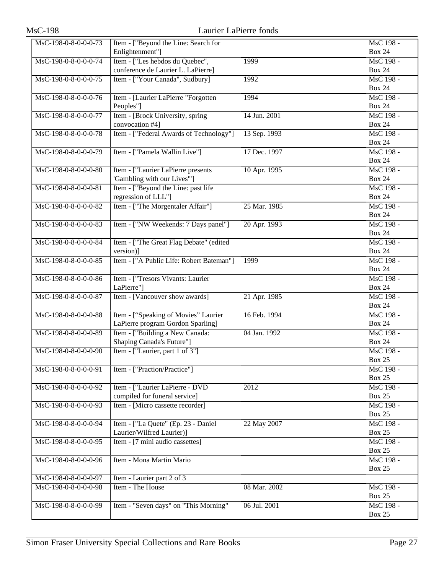| <b>MsC-198</b>       | Laurier LaPierre fonds                    |              |                               |
|----------------------|-------------------------------------------|--------------|-------------------------------|
| MsC-198-0-8-0-0-0-73 | Item - ["Beyond the Line: Search for      |              | MsC 198 -                     |
|                      | Enlightenment"]                           |              | <b>Box 24</b>                 |
| MsC-198-0-8-0-0-0-74 | Item - ["Les hebdos du Quebec",           | 1999         | MsC 198 -                     |
|                      | conference de Laurier L. LaPierre]        |              | <b>Box 24</b>                 |
| MsC-198-0-8-0-0-0-75 | Item - ["Your Canada", Sudbury]           | 1992         | MsC 198 -                     |
|                      |                                           |              | <b>Box 24</b>                 |
| MsC-198-0-8-0-0-0-76 | Item - [Laurier LaPierre "Forgotten       | 1994         | MsC 198 -                     |
|                      | Peoples"]                                 |              | <b>Box 24</b>                 |
| MsC-198-0-8-0-0-0-77 | Item - [Brock University, spring          | 14 Jun. 2001 | MsC 198 -                     |
|                      | convocation #4]                           |              | <b>Box 24</b>                 |
| MsC-198-0-8-0-0-0-78 | Item - ["Federal Awards of Technology"]   | 13 Sep. 1993 | MsC 198 -                     |
|                      |                                           |              | <b>Box 24</b>                 |
| MsC-198-0-8-0-0-0-79 | Item - ["Pamela Wallin Live"]             | 17 Dec. 1997 | MsC 198 -                     |
|                      |                                           |              | <b>Box 24</b>                 |
| MsC-198-0-8-0-0-0-80 | Item - ["Laurier LaPierre presents        | 10 Apr. 1995 | MsC 198 -                     |
|                      | 'Gambling with our Lives"']               |              | <b>Box 24</b>                 |
| MsC-198-0-8-0-0-0-81 | Item - ["Beyond the Line: past life       |              | MsC 198 -                     |
|                      | regression of LLL"]                       |              | <b>Box 24</b>                 |
| MsC-198-0-8-0-0-0-82 | Item - ["The Morgentaler Affair"]         | 25 Mar. 1985 | MsC 198 -                     |
|                      |                                           |              | <b>Box 24</b>                 |
| MsC-198-0-8-0-0-0-83 | Item - ["NW Weekends: 7 Days panel"]      | 20 Apr. 1993 | MsC 198 -                     |
|                      |                                           |              | <b>Box 24</b>                 |
| MsC-198-0-8-0-0-0-84 | Item - ["The Great Flag Debate" (edited   |              | MsC 198 -                     |
|                      | version)]                                 |              | <b>Box 24</b>                 |
| MsC-198-0-8-0-0-0-85 | Item - ["A Public Life: Robert Bateman"]  | 1999         | MsC 198 -                     |
|                      |                                           |              | <b>Box 24</b>                 |
| MsC-198-0-8-0-0-0-86 | Item - ["Tresors Vivants: Laurier         |              | MsC 198 -                     |
|                      | LaPierre"]                                |              | <b>Box 24</b>                 |
| MsC-198-0-8-0-0-0-87 | Item - [Vancouver show awards]            | 21 Apr. 1985 | MsC 198 -                     |
|                      |                                           |              | <b>Box 24</b>                 |
| MsC-198-0-8-0-0-0-88 | Item - ["Speaking of Movies" Laurier      | 16 Feb. 1994 | MsC 198 -                     |
|                      | LaPierre program Gordon Sparling]         |              | <b>Box 24</b>                 |
| MsC-198-0-8-0-0-0-89 | Item - ["Building a New Canada:           | 04 Jan. 1992 | MsC 198 -                     |
|                      | Shaping Canada's Future"]                 |              | <b>Box 24</b>                 |
| MsC-198-0-8-0-0-0-90 | Item - ["Laurier, part 1 of 3"]           |              | MsC 198 -                     |
|                      |                                           |              | <b>Box 25</b>                 |
| MsC-198-0-8-0-0-0-91 | Item - ["Praction/Practice"]              |              | MsC 198 -                     |
|                      |                                           |              | <b>Box 25</b>                 |
| MsC-198-0-8-0-0-0-92 | Item - ["Laurier LaPierre - DVD           | 2012         | MsC 198 -                     |
|                      | compiled for funeral service]             |              | <b>Box 25</b>                 |
| MsC-198-0-8-0-0-0-93 | Item - [Micro cassette recorder]          |              | MsC 198 -                     |
|                      |                                           |              | <b>Box 25</b>                 |
| MsC-198-0-8-0-0-0-94 | Item - ["La Quete" (Ep. 23 - Daniel       | 22 May 2007  | MsC 198 -                     |
|                      | Laurier/Wilfred Laurier)]                 |              | <b>Box 25</b>                 |
| MsC-198-0-8-0-0-0-95 | Item - $[7 \text{ mini}$ audio cassettes] |              | $\overline{\text{MsC}}$ 198 - |
|                      |                                           |              | <b>Box 25</b>                 |
| MsC-198-0-8-0-0-0-96 | Item - Mona Martin Mario                  |              | MsC 198 -                     |
|                      |                                           |              | <b>Box 25</b>                 |
| MsC-198-0-8-0-0-0-97 | Item - Laurier part 2 of 3                |              |                               |
| MsC-198-0-8-0-0-0-98 | Item - The House                          | 08 Mar. 2002 | MsC 198 -                     |
|                      |                                           |              | <b>Box 25</b>                 |
| MsC-198-0-8-0-0-0-99 | Item - "Seven days" on "This Morning"     | 06 Jul. 2001 | MsC 198 -                     |
|                      |                                           |              | <b>Box 25</b>                 |